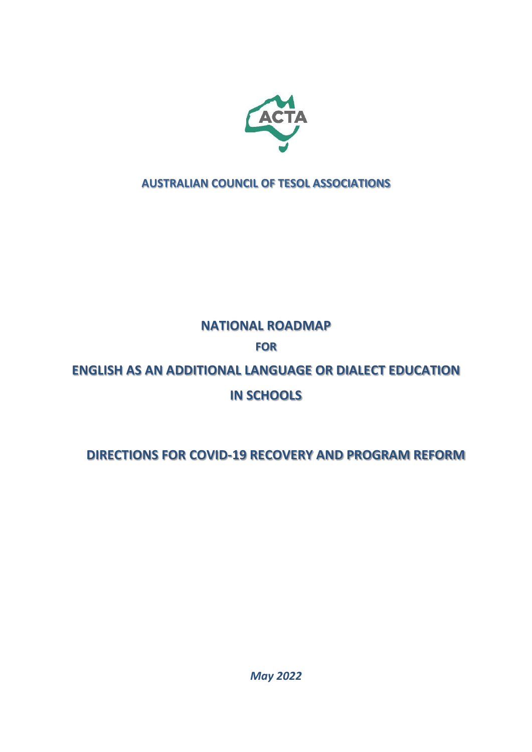

# **AUSTRALIAN COUNCIL OF TESOL ASSOCIATIONS**

# **NATIONAL ROADMAP**

# **FOR**

# **ENGLISH AS AN ADDITIONAL LANGUAGE OR DIALECT EDUCATION**

# **IN SCHOOLS**

# **DIRECTIONS FOR COVID-19 RECOVERY AND PROGRAM REFORM**

*May 2022*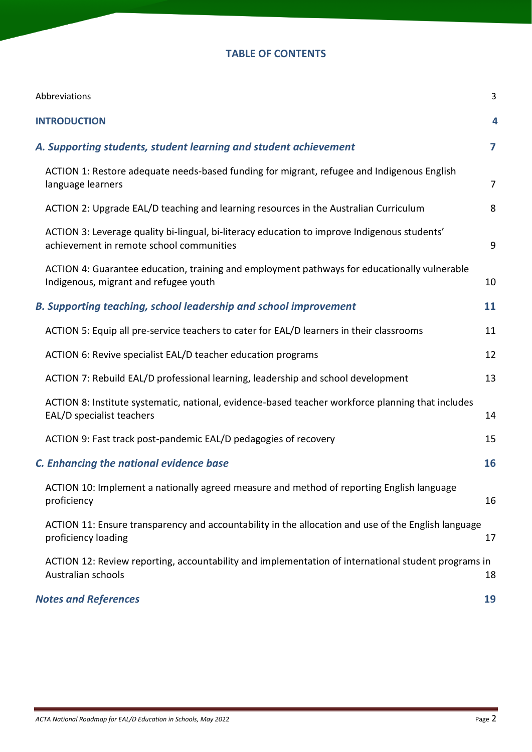### **TABLE OF CONTENTS**

| Abbreviations                                                                                                                            | 3              |
|------------------------------------------------------------------------------------------------------------------------------------------|----------------|
| <b>INTRODUCTION</b>                                                                                                                      | 4              |
| A. Supporting students, student learning and student achievement                                                                         | 7              |
| ACTION 1: Restore adequate needs-based funding for migrant, refugee and Indigenous English<br>language learners                          | $\overline{7}$ |
| ACTION 2: Upgrade EAL/D teaching and learning resources in the Australian Curriculum                                                     | 8              |
| ACTION 3: Leverage quality bi-lingual, bi-literacy education to improve Indigenous students'<br>achievement in remote school communities | 9              |
| ACTION 4: Guarantee education, training and employment pathways for educationally vulnerable<br>Indigenous, migrant and refugee youth    | 10             |
| <b>B. Supporting teaching, school leadership and school improvement</b>                                                                  | 11             |
| ACTION 5: Equip all pre-service teachers to cater for EAL/D learners in their classrooms                                                 | 11             |
| ACTION 6: Revive specialist EAL/D teacher education programs                                                                             | 12             |
| ACTION 7: Rebuild EAL/D professional learning, leadership and school development                                                         | 13             |
| ACTION 8: Institute systematic, national, evidence-based teacher workforce planning that includes<br>EAL/D specialist teachers           | 14             |
| ACTION 9: Fast track post-pandemic EAL/D pedagogies of recovery                                                                          | 15             |
| <b>C. Enhancing the national evidence base</b>                                                                                           | 16             |
| ACTION 10: Implement a nationally agreed measure and method of reporting English language<br>proficiency                                 | 16             |
| ACTION 11: Ensure transparency and accountability in the allocation and use of the English language<br>proficiency loading               | 17             |
| ACTION 12: Review reporting, accountability and implementation of international student programs in<br>Australian schools                | 18             |
| <b>Notes and References</b>                                                                                                              | 19             |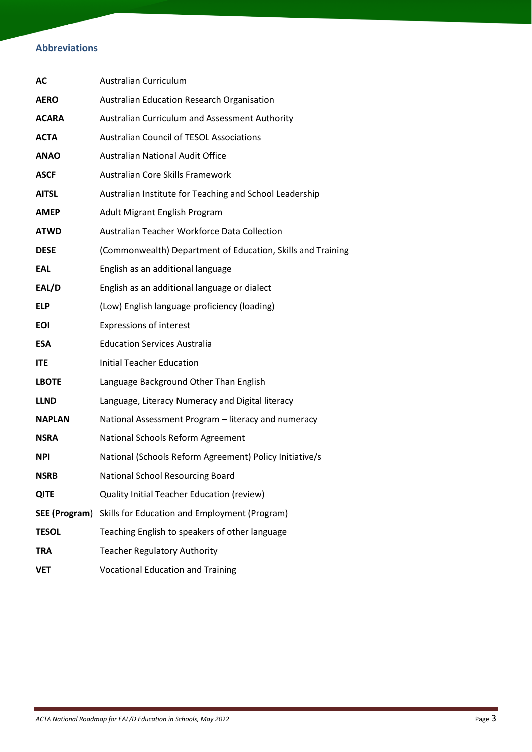# **Abbreviations**

| AC                   | Australian Curriculum                                       |
|----------------------|-------------------------------------------------------------|
| <b>AERO</b>          | Australian Education Research Organisation                  |
| <b>ACARA</b>         | Australian Curriculum and Assessment Authority              |
| <b>ACTA</b>          | <b>Australian Council of TESOL Associations</b>             |
| <b>ANAO</b>          | <b>Australian National Audit Office</b>                     |
| <b>ASCF</b>          | Australian Core Skills Framework                            |
| <b>AITSL</b>         | Australian Institute for Teaching and School Leadership     |
| <b>AMEP</b>          | Adult Migrant English Program                               |
| <b>ATWD</b>          | Australian Teacher Workforce Data Collection                |
| <b>DESE</b>          | (Commonwealth) Department of Education, Skills and Training |
| <b>EAL</b>           | English as an additional language                           |
| EAL/D                | English as an additional language or dialect                |
| <b>ELP</b>           | (Low) English language proficiency (loading)                |
| <b>EOI</b>           | <b>Expressions of interest</b>                              |
| <b>ESA</b>           | <b>Education Services Australia</b>                         |
| <b>ITE</b>           | <b>Initial Teacher Education</b>                            |
| <b>LBOTE</b>         | Language Background Other Than English                      |
| <b>LLND</b>          | Language, Literacy Numeracy and Digital literacy            |
| <b>NAPLAN</b>        | National Assessment Program - literacy and numeracy         |
| <b>NSRA</b>          | National Schools Reform Agreement                           |
| <b>NPI</b>           | National (Schools Reform Agreement) Policy Initiative/s     |
| <b>NSRB</b>          | National School Resourcing Board                            |
| <b>QITE</b>          | Quality Initial Teacher Education (review)                  |
| <b>SEE (Program)</b> | Skills for Education and Employment (Program)               |
| <b>TESOL</b>         | Teaching English to speakers of other language              |
| <b>TRA</b>           | <b>Teacher Regulatory Authority</b>                         |
| <b>VET</b>           | <b>Vocational Education and Training</b>                    |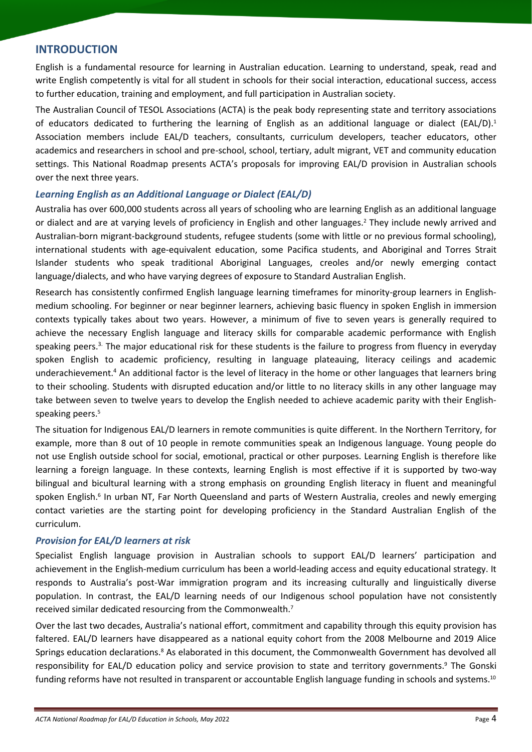### **INTRODUCTION**

English is a fundamental resource for learning in Australian education. Learning to understand, speak, read and write English competently is vital for all student in schools for their social interaction, educational success, access to further education, training and employment, and full participation in Australian society.

The Australian Council of TESOL Associations (ACTA) is the peak body representing state and territory associations of educators dedicated to furthering the learning of English as an additional language or dialect (EAL/D). 1 Association members include EAL/D teachers, consultants, curriculum developers, teacher educators, other academics and researchers in school and pre-school, school, tertiary, adult migrant, VET and community education settings. This National Roadmap presents ACTA's proposals for improving EAL/D provision in Australian schools over the next three years.

### *Learning English as an Additional Language or Dialect (EAL/D)*

Australia has over 600,000 students across all years of schooling who are learning English as an additional language or dialect and are at varying levels of proficiency in English and other languages.<sup>2</sup> They include newly arrived and Australian-born migrant-background students, refugee students (some with little or no previous formal schooling), international students with age-equivalent education, some Pacifica students, and Aboriginal and Torres Strait Islander students who speak traditional Aboriginal Languages, creoles and/or newly emerging contact language/dialects, and who have varying degrees of exposure to Standard Australian English.

Research has consistently confirmed English language learning timeframes for minority-group learners in Englishmedium schooling. For beginner or near beginner learners, achieving basic fluency in spoken English in immersion contexts typically takes about two years. However, a minimum of five to seven years is generally required to achieve the necessary English language and literacy skills for comparable academic performance with English speaking peers. 3. The major educational risk for these students is the failure to progress from fluency in everyday spoken English to academic proficiency, resulting in language plateauing, literacy ceilings and academic underachievement. <sup>4</sup> An additional factor is the level of literacy in the home or other languages that learners bring to their schooling. Students with disrupted education and/or little to no literacy skills in any other language may take between seven to twelve years to develop the English needed to achieve academic parity with their Englishspeaking peers. 5

The situation for Indigenous EAL/D learners in remote communities is quite different. In the Northern Territory, for example, more than 8 out of 10 people in remote communities speak an Indigenous language. Young people do not use English outside school for social, emotional, practical or other purposes. Learning English is therefore like learning a foreign language. In these contexts, learning English is most effective if it is supported by two-way bilingual and bicultural learning with a strong emphasis on grounding English literacy in fluent and meaningful spoken English.<sup>6</sup> In urban NT, Far North Queensland and parts of Western Australia, creoles and newly emerging contact varieties are the starting point for developing proficiency in the Standard Australian English of the curriculum.

### *Provision for EAL/D learners at risk*

Specialist English language provision in Australian schools to support EAL/D learners' participation and achievement in the English-medium curriculum has been a world-leading access and equity educational strategy. It responds to Australia's post-War immigration program and its increasing culturally and linguistically diverse population. In contrast, the EAL/D learning needs of our Indigenous school population have not consistently received similar dedicated resourcing from the Commonwealth.<sup>7</sup>

Over the last two decades, Australia's national effort, commitment and capability through this equity provision has faltered. EAL/D learners have disappeared as a national equity cohort from the 2008 Melbourne and 2019 Alice Springs education declarations.<sup>8</sup> As elaborated in this document, the Commonwealth Government has devolved all responsibility for EAL/D education policy and service provision to state and territory governments.<sup>9</sup> The Gonski funding reforms have not resulted in transparent or accountable English language funding in schools and systems.<sup>10</sup>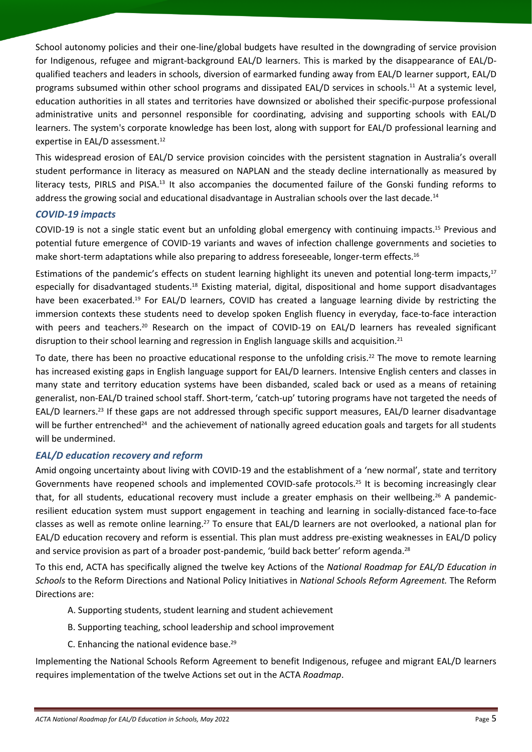School autonomy policies and their one-line/global budgets have resulted in the downgrading of service provision for Indigenous, refugee and migrant-background EAL/D learners. This is marked by the disappearance of EAL/Dqualified teachers and leaders in schools, diversion of earmarked funding away from EAL/D learner support, EAL/D programs subsumed within other school programs and dissipated EAL/D services in schools. <sup>11</sup> At a systemic level, education authorities in all states and territories have downsized or abolished their specific-purpose professional administrative units and personnel responsible for coordinating, advising and supporting schools with EAL/D learners. The system's corporate knowledge has been lost, along with support for EAL/D professional learning and expertise in EAL/D assessment. 12

This widespread erosion of EAL/D service provision coincides with the persistent stagnation in Australia's overall student performance in literacy as measured on NAPLAN and the steady decline internationally as measured by literacy tests, PIRLS and PISA.<sup>13</sup> It also accompanies the documented failure of the Gonski funding reforms to address the growing social and educational disadvantage in Australian schools over the last decade.<sup>14</sup>

### *COVID-19 impacts*

COVID-19 is not a single static event but an unfolding global emergency with continuing impacts. <sup>15</sup> Previous and potential future emergence of COVID-19 variants and waves of infection challenge governments and societies to make short-term adaptations while also preparing to address foreseeable, longer-term effects. 16

Estimations of the pandemic's effects on student learning highlight its uneven and potential long-term impacts,<sup>17</sup> especially for disadvantaged students.<sup>18</sup> Existing material, digital, dispositional and home support disadvantages have been exacerbated.<sup>19</sup> For EAL/D learners, COVID has created a language learning divide by restricting the immersion contexts these students need to develop spoken English fluency in everyday, face-to-face interaction with peers and teachers.<sup>20</sup> Research on the impact of COVID-19 on EAL/D learners has revealed significant disruption to their school learning and regression in English language skills and acquisition.<sup>21</sup>

To date, there has been no proactive educational response to the unfolding crisis.<sup>22</sup> The move to remote learning has increased existing gaps in English language support for EAL/D learners. Intensive English centers and classes in many state and territory education systems have been disbanded, scaled back or used as a means of retaining generalist, non-EAL/D trained school staff. Short-term, 'catch-up' tutoring programs have not targeted the needs of EAL/D learners.<sup>23</sup> If these gaps are not addressed through specific support measures, EAL/D learner disadvantage will be further entrenched<sup>24</sup> and the achievement of nationally agreed education goals and targets for all students will be undermined.

### *EAL/D education recovery and reform*

Amid ongoing uncertainty about living with COVID-19 and the establishment of a 'new normal', state and territory Governments have reopened schools and implemented COVID-safe protocols. <sup>25</sup> It is becoming increasingly clear that, for all students, educational recovery must include a greater emphasis on their wellbeing.<sup>26</sup> A pandemicresilient education system must support engagement in teaching and learning in socially-distanced face-to-face classes as well as remote online learning.<sup>27</sup> To ensure that EAL/D learners are not overlooked, a national plan for EAL/D education recovery and reform is essential. This plan must address pre-existing weaknesses in EAL/D policy and service provision as part of a broader post-pandemic, 'build back better' reform agenda.<sup>28</sup>

To this end, ACTA has specifically aligned the twelve key Actions of the *National Roadmap for EAL/D Education in Schools* to the Reform Directions and National Policy Initiatives in *National Schools Reform Agreement.* The Reform Directions are:

- A. Supporting students, student learning and student achievement
- B. Supporting teaching, school leadership and school improvement
- C. Enhancing the national evidence base.<sup>29</sup>

Implementing the National Schools Reform Agreement to benefit Indigenous, refugee and migrant EAL/D learners requires implementation of the twelve Actions set out in the ACTA *Roadmap*.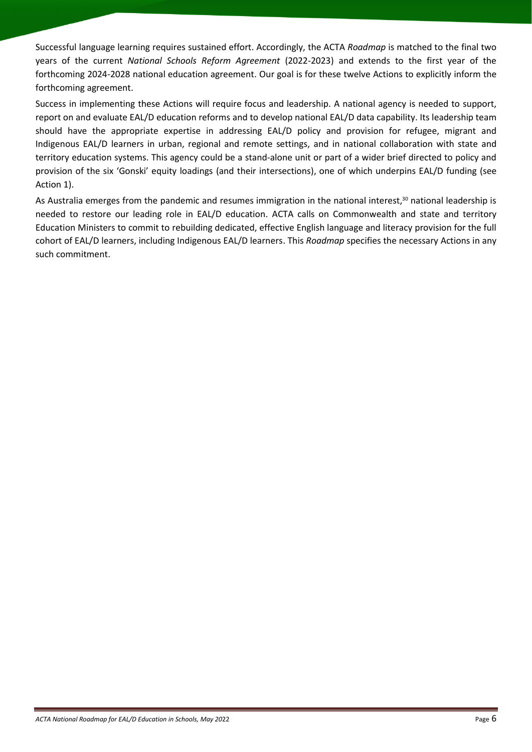Successful language learning requires sustained effort. Accordingly, the ACTA *Roadmap* is matched to the final two years of the current *National Schools Reform Agreement* (2022-2023) and extends to the first year of the forthcoming 2024-2028 national education agreement. Our goal is for these twelve Actions to explicitly inform the forthcoming agreement.

Success in implementing these Actions will require focus and leadership. A national agency is needed to support, report on and evaluate EAL/D education reforms and to develop national EAL/D data capability. Its leadership team should have the appropriate expertise in addressing EAL/D policy and provision for refugee, migrant and Indigenous EAL/D learners in urban, regional and remote settings, and in national collaboration with state and territory education systems. This agency could be a stand-alone unit or part of a wider brief directed to policy and provision of the six 'Gonski' equity loadings (and their intersections), one of which underpins EAL/D funding (see Action 1).

As Australia emerges from the pandemic and resumes immigration in the national interest,<sup>30</sup> national leadership is needed to restore our leading role in EAL/D education. ACTA calls on Commonwealth and state and territory Education Ministers to commit to rebuilding dedicated, effective English language and literacy provision for the full cohort of EAL/D learners, including Indigenous EAL/D learners. This *Roadmap* specifies the necessary Actions in any such commitment.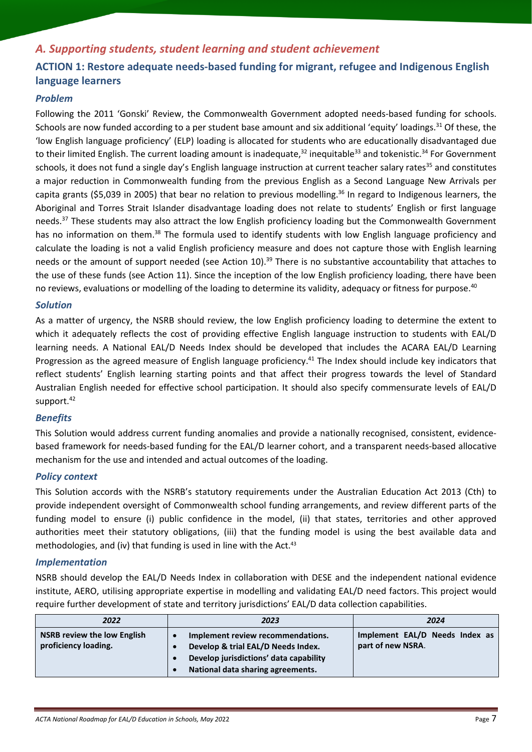# <span id="page-6-0"></span>*A. Supporting students, student learning and student achievement*

# <span id="page-6-1"></span>**ACTION 1: Restore adequate needs-based funding for migrant, refugee and Indigenous English language learners**

### *Problem*

Following the 2011 'Gonski' Review, the Commonwealth Government adopted needs-based funding for schools. Schools are now funded according to a per student base amount and six additional 'equity' loadings.<sup>31</sup> Of these, the 'low English language proficiency' (ELP) loading is allocated for students who are educationally disadvantaged due to their limited English. The current loading amount is inadequate,<sup>32</sup> inequitable<sup>33</sup> and tokenistic.<sup>34</sup> For Government schools, it does not fund a single day's English language instruction at current teacher salary rates<sup>35</sup> and constitutes a major reduction in Commonwealth funding from the previous English as a Second Language New Arrivals per capita grants (\$5,039 in 2005) that bear no relation to previous modelling. <sup>36</sup> In regard to Indigenous learners, the Aboriginal and Torres Strait Islander disadvantage loading does not relate to students' English or first language needs. <sup>37</sup> These students may also attract the low English proficiency loading but the Commonwealth Government has no information on them.<sup>38</sup> The formula used to identify students with low English language proficiency and calculate the loading is not a valid English proficiency measure and does not capture those with English learning needs or the amount of support needed (see Action 10).<sup>39</sup> There is no substantive accountability that attaches to the use of these funds (see Action 11). Since the inception of the low English proficiency loading, there have been no reviews, evaluations or modelling of the loading to determine its validity, adequacy or fitness for purpose.<sup>40</sup>

### *Solution*

As a matter of urgency, the NSRB should review, the low English proficiency loading to determine the extent to which it adequately reflects the cost of providing effective English language instruction to students with EAL/D learning needs. A National EAL/D Needs Index should be developed that includes the ACARA EAL/D Learning Progression as the agreed measure of English language proficiency.<sup>41</sup> The Index should include key indicators that reflect students' English learning starting points and that affect their progress towards the level of Standard Australian English needed for effective school participation. It should also specify commensurate levels of EAL/D support.<sup>42</sup>

### *Benefits*

This Solution would address current funding anomalies and provide a nationally recognised, consistent, evidencebased framework for needs-based funding for the EAL/D learner cohort, and a transparent needs-based allocative mechanism for the use and intended and actual outcomes of the loading.

### *Policy context*

This Solution accords with the NSRB's statutory requirements under the [Australian Education Act 2013](https://www.dese.gov.au/australian-education-act-2013) (Cth) to provide independent oversight of Commonwealth school funding arrangements, and review different parts of the funding model to ensure (i) public confidence in the model, (ii) that states, territories and other approved authorities meet their statutory obligations, (iii) that the funding model is using the best available data and methodologies, and (iv) that funding is used in line with the Act.<sup>43</sup>

### *Implementation*

NSRB should develop the EAL/D Needs Index in collaboration with DESE and the independent national evidence institute, AERO, utilising appropriate expertise in modelling and validating EAL/D need factors. This project would require further development of state and territory jurisdictions' EAL/D data collection capabilities.

| 2022                                                       | 2023                                                                                                                                                   | 2024                                                |
|------------------------------------------------------------|--------------------------------------------------------------------------------------------------------------------------------------------------------|-----------------------------------------------------|
| <b>NSRB review the low English</b><br>proficiency loading. | Implement review recommendations.<br>Develop & trial EAL/D Needs Index.<br>Develop jurisdictions' data capability<br>National data sharing agreements. | Implement EAL/D Needs Index as<br>part of new NSRA. |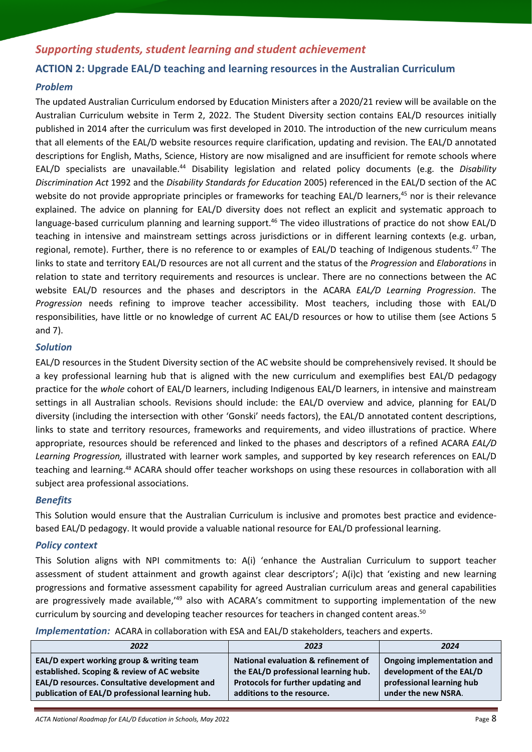# *Supporting students, student learning and student achievement*

### <span id="page-7-0"></span>**ACTION 2: Upgrade EAL/D teaching and learning resources in the Australian Curriculum**

### *Problem*

The updated Australian Curriculum endorsed by Education Ministers after a 2020/21 review will be available on the Australian Curriculum website in Term 2, 2022. The Student Diversity section contains EAL/D resources initially published in 2014 after the curriculum was first developed in 2010. The introduction of the new curriculum means that all elements of the EAL/D website resources require clarification, updating and revision. The EAL/D annotated descriptions for English, Maths, Science, History are now misaligned and are insufficient for remote schools where EAL/D specialists are unavailable.<sup>44</sup> Disability legislation and related policy documents (e.g. the *[Disability](https://www.legislation.gov.au/Details/C2016C00763)  [Discrimination Act](https://www.legislation.gov.au/Details/C2016C00763)* 1992 and the *[Disability Standards for Education](https://www.education.gov.au/disability-standards-education-2005)* 2005) referenced in the EAL/D section of the AC website do not provide appropriate principles or frameworks for teaching EAL/D learners, <sup>45</sup> nor is their relevance explained. The advice on planning for EAL/D diversity does not reflect an explicit and systematic approach to language-based curriculum planning and learning support.<sup>46</sup> The video illustrations of practice do not show EAL/D teaching in intensive and mainstream settings across jurisdictions or in different learning contexts (e.g. urban, regional, remote). Further, there is no reference to or examples of EAL/D teaching of Indigenous students.<sup>47</sup> The links to state and territory EAL/D resources are not all current and the status of the *Progression* and *Elaborations* in relation to state and territory requirements and resources is unclear. There are no connections between the AC website EAL/D resources and the phases and descriptors in the ACARA *EAL/D Learning Progression*. The *Progression* needs refining to improve teacher accessibility. Most teachers, including those with EAL/D responsibilities, have little or no knowledge of current AC EAL/D resources or how to utilise them (see Actions 5 and 7).

### *Solution*

EAL/D resources in the Student Diversity section of the AC website should be comprehensively revised. It should be a key professional learning hub that is aligned with the new curriculum and exemplifies best EAL/D pedagogy practice for the *whole* cohort of EAL/D learners, including Indigenous EAL/D learners, in intensive and mainstream settings in all Australian schools. Revisions should include: the EAL/D overview and advice, planning for EAL/D diversity (including the intersection with other 'Gonski' needs factors), the EAL/D annotated content descriptions, links to state and territory resources, frameworks and requirements, and video illustrations of practice. Where appropriate, resources should be referenced and linked to the phases and descriptors of a refined ACARA *EAL/D Learning Progression,* illustrated with learner work samples, and supported by key research references on EAL/D teaching and learning. <sup>48</sup> ACARA should offer teacher workshops on using these resources in collaboration with all subject area professional associations.

### *Benefits*

This Solution would ensure that the Australian Curriculum is inclusive and promotes best practice and evidencebased EAL/D pedagogy. It would provide a valuable national resource for EAL/D professional learning.

### *Policy context*

This Solution aligns with NPI commitments to: A(i) 'enhance the Australian Curriculum to support teacher assessment of student attainment and growth against clear descriptors'; A(i)c) that 'existing and new learning progressions and formative assessment capability for agreed Australian curriculum areas and general capabilities are progressively made available,<sup>149</sup> also with ACARA's commitment to supporting implementation of the new curriculum by sourcing and developing teacher resources for teachers in changed content areas.<sup>50</sup>

*Implementation:* ACARA in collaboration with ESA and EAL/D stakeholders, teachers and experts.

| 2022                                            | 2023                                 | 2024                       |
|-------------------------------------------------|--------------------------------------|----------------------------|
| EAL/D expert working group & writing team       | National evaluation & refinement of  | Ongoing implementation and |
| established. Scoping & review of AC website     | the EAL/D professional learning hub. | development of the EAL/D   |
| EAL/D resources. Consultative development and   | Protocols for further updating and   | professional learning hub  |
| publication of EAL/D professional learning hub. | additions to the resource.           | under the new NSRA.        |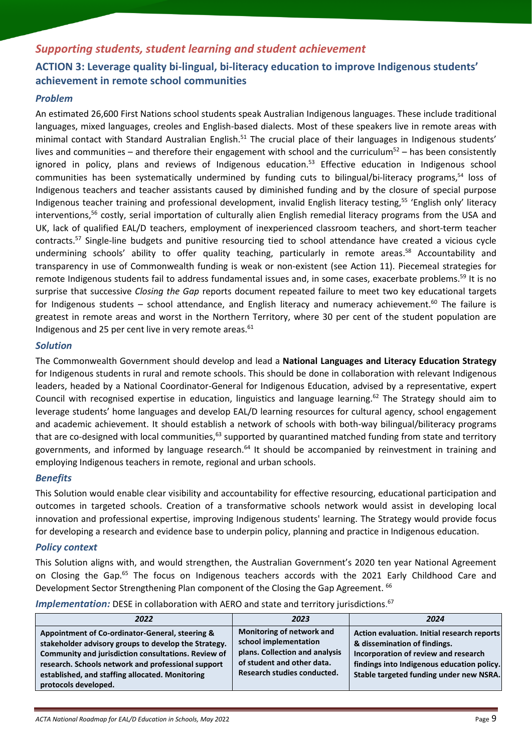# <span id="page-8-0"></span>*Supporting students, student learning and student achievement* **ACTION 3: Leverage quality bi-lingual, bi-literacy education to improve Indigenous students' achievement in remote school communities**

### *Problem*

An estimated 26,600 First Nations school students speak Australian Indigenous languages. These include traditional languages, mixed languages, creoles and English-based dialects. Most of these speakers live in remote areas with minimal contact with Standard Australian English.<sup>51</sup> The crucial place of their languages in Indigenous students' lives and communities – and therefore their engagement with school and the curriculum<sup>52</sup> – has been consistently ignored in policy, plans and reviews of Indigenous education. <sup>53</sup> Effective education in Indigenous school communities has been systematically undermined by funding cuts to bilingual/bi-literacy programs, <sup>54</sup> loss of Indigenous teachers and teacher assistants caused by diminished funding and by the closure of special purpose Indigenous teacher training and professional development, invalid English literacy testing,<sup>55</sup> 'English only' literacy interventions,<sup>56</sup> costly, serial importation of culturally alien English remedial literacy programs from the USA and UK, lack of qualified EAL/D teachers, employment of inexperienced classroom teachers, and short-term teacher contracts. <sup>57</sup> Single-line budgets and punitive resourcing tied to school attendance have created a vicious cycle undermining schools' ability to offer quality teaching, particularly in remote areas. <sup>58</sup> Accountability and transparency in use of Commonwealth funding is weak or non-existent (see Action 11). Piecemeal strategies for remote Indigenous students fail to address fundamental issues and, in some cases, exacerbate problems. <sup>59</sup> It is no surprise that successive *Closing the Gap* reports document repeated failure to meet two key educational targets for Indigenous students – school attendance, and English literacy and numeracy achievement.<sup>60</sup> The failure is greatest in remote areas and worst in the Northern Territory, where 30 per cent of the student population are Indigenous and 25 per cent live in very remote areas. $61$ 

### *Solution*

The Commonwealth Government should develop and lead a **National Languages and Literacy Education Strategy** for Indigenous students in rural and remote schools. This should be done in collaboration with relevant Indigenous leaders, headed by a National Coordinator-General for Indigenous Education, advised by a representative, expert Council with recognised expertise in education, linguistics and language learning.<sup>62</sup> The Strategy should aim to leverage students' home languages and develop EAL/D learning resources for cultural agency, school engagement and academic achievement. It should establish a network of schools with both-way bilingual/biliteracy programs that are co-designed with local communities,<sup>63</sup> supported by quarantined matched funding from state and territory governments, and informed by language research.<sup>64</sup> It should be accompanied by reinvestment in training and employing Indigenous teachers in remote, regional and urban schools.

### *Benefits*

This Solution would enable clear visibility and accountability for effective resourcing, educational participation and outcomes in targeted schools. Creation of a transformative schools network would assist in developing local innovation and professional expertise, improving Indigenous students' learning. The Strategy would provide focus for developing a research and evidence base to underpin policy, planning and practice in Indigenous education.

### *Policy context*

This Solution aligns with, and would strengthen, the Australian Government's 2020 ten year National Agreement on Closing the Gap.<sup>65</sup> The focus on Indigenous teachers accords with the 2021 Early Childhood Care and [Development Sector Strengthening Plan](https://www.closingthegap.gov.au/sites/default/files/2021-12/sector-strengthening-plan-early-childhood-care-development.pdf) component of the Closing the Gap Agreement. <sup>66</sup>

| 2022                                                                                                                                                                                                                                                                                            | 2023                                                                                                                                              | 2024                                                                                                                                                                                                         |
|-------------------------------------------------------------------------------------------------------------------------------------------------------------------------------------------------------------------------------------------------------------------------------------------------|---------------------------------------------------------------------------------------------------------------------------------------------------|--------------------------------------------------------------------------------------------------------------------------------------------------------------------------------------------------------------|
| Appointment of Co-ordinator-General, steering &<br>stakeholder advisory groups to develop the Strategy.<br>Community and jurisdiction consultations. Review of<br>research. Schools network and professional support<br>established, and staffing allocated. Monitoring<br>protocols developed. | Monitoring of network and<br>school implementation<br>plans. Collection and analysis<br>of student and other data.<br>Research studies conducted. | Action evaluation. Initial research reports<br>& dissemination of findings.<br>Incorporation of review and research<br>findings into Indigenous education policy.<br>Stable targeted funding under new NSRA. |

Implementation: DESE in collaboration with AERO and state and territory jurisdictions.<sup>67</sup>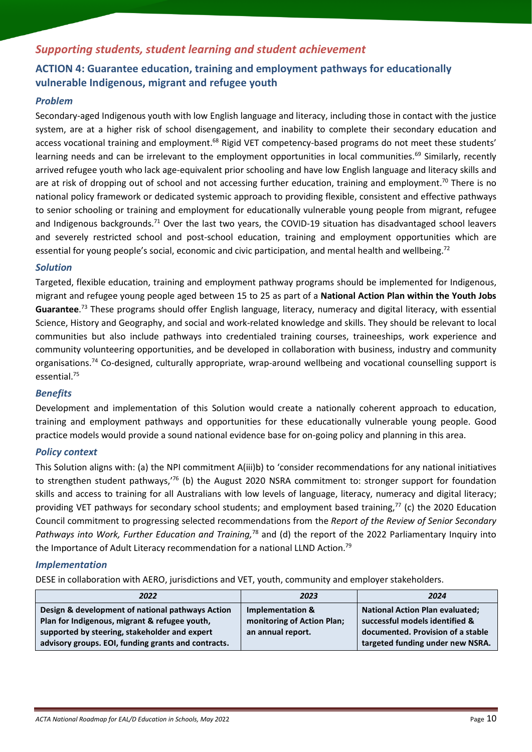# *Supporting students, student learning and student achievement*

## <span id="page-9-0"></span>**ACTION 4: Guarantee education, training and employment pathways for educationally vulnerable Indigenous, migrant and refugee youth**

### *Problem*

Secondary-aged Indigenous youth with low English language and literacy, including those in contact with the justice system, are at a higher risk of school disengagement, and inability to complete their secondary education and access vocational training and employment.<sup>68</sup> Rigid VET competency-based programs do not meet these students' learning needs and can be irrelevant to the employment opportunities in local communities.<sup>69</sup> Similarly, recently arrived refugee youth who lack age-equivalent prior schooling and have low English language and literacy skills and are at risk of dropping out of school and not accessing further education, training and employment.<sup>70</sup> There is no national policy framework or dedicated systemic approach to providing flexible, consistent and effective pathways to senior schooling or training and employment for educationally vulnerable young people from migrant, refugee and Indigenous backgrounds.<sup>71</sup> Over the last two years, the COVID-19 situation has disadvantaged school leavers and severely restricted school and post-school education, training and employment opportunities which are essential for young people's social, economic and civic participation, and mental health and wellbeing.<sup>72</sup>

### *Solution*

Targeted, flexible education, training and employment pathway programs should be implemented for Indigenous, migrant and refugee young people aged between 15 to 25 as part of a **National Action Plan within the Youth Jobs Guarantee**. <sup>73</sup> These programs should offer English language, literacy, numeracy and digital literacy, with essential Science, History and Geography, and social and work-related knowledge and skills. They should be relevant to local communities but also include pathways into credentialed training courses, traineeships, work experience and community volunteering opportunities, and be developed in collaboration with business, industry and community organisations.<sup>74</sup> Co-designed, culturally appropriate, wrap-around wellbeing and vocational counselling support is essential.<sup>75</sup>

### *Benefits*

Development and implementation of this Solution would create a nationally coherent approach to education, training and employment pathways and opportunities for these educationally vulnerable young people. Good practice models would provide a sound national evidence base for on-going policy and planning in this area.

### *Policy context*

This Solution aligns with: (a) the NPI commitment A(iii)b) to 'consider recommendations for any national initiatives to strengthen student pathways,'<sup>76</sup> (b) the August 2020 NSRA commitment to: stronger support for foundation skills and access to training for all Australians with low levels of language, literacy, numeracy and digital literacy; providing VET pathways for secondary school students; and employment based training, <sup>77</sup> (c) the 2020 Education Council commitment to progressing selected recommendations from the *Report of the Review of Senior Secondary*  Pathways into Work, Further Education and Training,<sup>78</sup> and (d) the report of the 2022 Parliamentary Inquiry into the Importance of Adult Literacy recommendation for a national LLND Action.<sup>79</sup>

### *Implementation*

DESE in collaboration with AERO, jurisdictions and VET, youth, community and employer stakeholders.

| 2022                                                                                                                                                                                                      | 2023                                                                | 2024                                                                                                                                              |
|-----------------------------------------------------------------------------------------------------------------------------------------------------------------------------------------------------------|---------------------------------------------------------------------|---------------------------------------------------------------------------------------------------------------------------------------------------|
| Design & development of national pathways Action<br>Plan for Indigenous, migrant & refugee youth,<br>supported by steering, stakeholder and expert<br>advisory groups. EOI, funding grants and contracts. | Implementation &<br>monitoring of Action Plan;<br>an annual report. | <b>National Action Plan evaluated;</b><br>successful models identified &<br>documented. Provision of a stable<br>targeted funding under new NSRA. |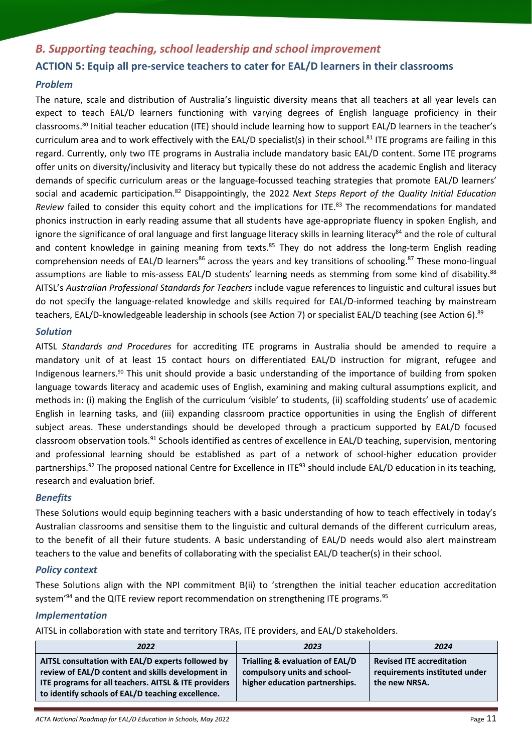## <span id="page-10-0"></span>*B. Supporting teaching, school leadership and school improvement*

### <span id="page-10-1"></span>**ACTION 5: Equip all pre-service teachers to cater for EAL/D learners in their classrooms**

### *Problem*

The nature, scale and distribution of Australia's linguistic diversity means that all teachers at all year levels can expect to teach EAL/D learners functioning with varying degrees of English language proficiency in their classrooms. <sup>80</sup> Initial teacher education (ITE) should include learning how to support EAL/D learners in the teacher's curriculum area and to work effectively with the EAL/D specialist(s) in their school.<sup>81</sup> ITE programs are failing in this regard. Currently, only two ITE programs in Australia include mandatory basic EAL/D content. Some ITE programs offer units on diversity/inclusivity and literacy but typically these do not address the academic English and literacy demands of specific curriculum areas or the language-focussed teaching strategies that promote EAL/D learners' social and academic participation.<sup>82</sup> Disappointingly, the 2022 *Next Steps Report of the Quality Initial Education Review* failed to consider this equity cohort and the implications for ITE.<sup>83</sup> The recommendations for mandated phonics instruction in early reading assume that all students have age-appropriate fluency in spoken English, and ignore the significance of oral language and first language literacy skills in learning literacy $^{84}$  and the role of cultural and content knowledge in gaining meaning from texts.<sup>85</sup> They do not address the long-term English reading comprehension needs of EAL/D learners<sup>86</sup> across the years and key transitions of schooling.<sup>87</sup> These mono-lingual assumptions are liable to mis-assess EAL/D students' learning needs as stemming from some kind of disability.<sup>88</sup> AITSL's *Australian Professional Standards for Teachers* include vague references to linguistic and cultural issues but do not specify the language-related knowledge and skills required for EAL/D-informed teaching by mainstream teachers, EAL/D-knowledgeable leadership in schools (see Action 7) or specialist EAL/D teaching (see Action 6). 89

### *Solution*

AITSL *Standards and Procedures* for accrediting ITE programs in Australia should be amended to require a mandatory unit of at least 15 contact hours on differentiated EAL/D instruction for migrant, refugee and Indigenous learners. <sup>90</sup> This unit should provide a basic understanding of the importance of building from spoken language towards literacy and academic uses of English, examining and making cultural assumptions explicit, and methods in: (i) making the English of the curriculum 'visible' to students, (ii) scaffolding students' use of academic English in learning tasks, and (iii) expanding classroom practice opportunities in using the English of different subject areas. These understandings should be developed through a practicum supported by EAL/D focused classroom observation tools.<sup>91</sup> Schools identified as centres of excellence in EAL/D teaching, supervision, mentoring and professional learning should be established as part of a network of school-higher education provider partnerships.<sup>92</sup> The proposed national Centre for Excellence in ITE<sup>93</sup> should include EAL/D education in its teaching, research and evaluation brief.

### *Benefits*

These Solutions would equip beginning teachers with a basic understanding of how to teach effectively in today's Australian classrooms and sensitise them to the linguistic and cultural demands of the different curriculum areas, to the benefit of all their future students. A basic understanding of EAL/D needs would also alert mainstream teachers to the value and benefits of collaborating with the specialist EAL/D teacher(s) in their school.

### *Policy context*

These Solutions align with the NPI commitment B(ii) to 'strengthen the initial teacher education accreditation system'<sup>94</sup> and the QITE review report recommendation on strengthening ITE programs.<sup>95</sup>

### *Implementation*

AITSL in collaboration with state and territory TRAs, ITE providers, and EAL/D stakeholders.

| 2022                                                                                                                                                                                                                | 2023                                                                                              | 2024                                                                               |
|---------------------------------------------------------------------------------------------------------------------------------------------------------------------------------------------------------------------|---------------------------------------------------------------------------------------------------|------------------------------------------------------------------------------------|
| AITSL consultation with EAL/D experts followed by<br>review of EAL/D content and skills development in<br>ITE programs for all teachers. AITSL & ITE providers<br>to identify schools of EAL/D teaching excellence. | Trialling & evaluation of EAL/D<br>compulsory units and school-<br>higher education partnerships. | <b>Revised ITE accreditation</b><br>requirements instituted under<br>the new NRSA. |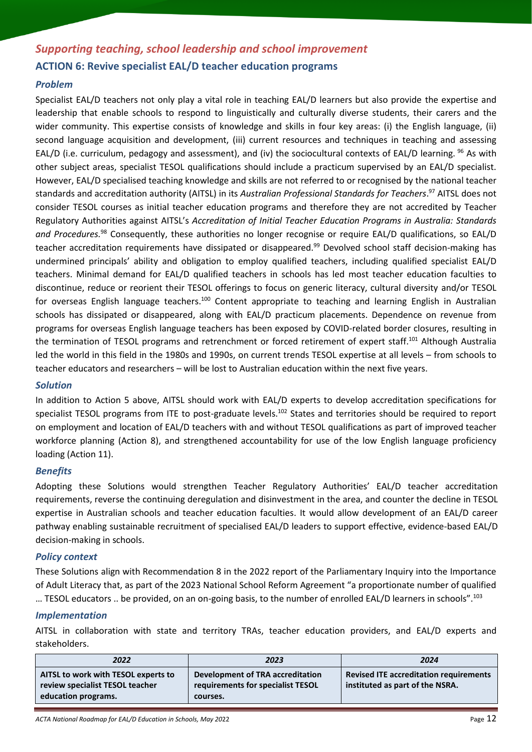# <span id="page-11-0"></span>*Supporting teaching, school leadership and school improvement* **ACTION 6: Revive specialist EAL/D teacher education programs**

### *Problem*

Specialist EAL/D teachers not only play a vital role in teaching EAL/D learners but also provide the expertise and leadership that enable schools to respond to linguistically and culturally diverse students, their carers and the wider community. This expertise consists of knowledge and skills in four key areas: (i) the English language, (ii) second language acquisition and development, (iii) current resources and techniques in teaching and assessing EAL/D (i.e. curriculum, pedagogy and assessment), and (iv) the sociocultural contexts of EAL/D learning. <sup>96</sup> As with other subject areas, specialist TESOL qualifications should include a practicum supervised by an EAL/D specialist. However, EAL/D specialised teaching knowledge and skills are not referred to or recognised by the national teacher standards and accreditation authority (AITSL) in its *Australian Professional Standards for Teachers*. <sup>97</sup> AITSL does not consider TESOL courses as initial teacher education programs and therefore they are not accredited by Teacher Regulatory Authorities against AITSL's *Accreditation of Initial Teacher Education Programs in Australia: Standards and Procedures.*<sup>98</sup> Consequently, these authorities no longer recognise or require EAL/D qualifications, so EAL/D teacher accreditation requirements have dissipated or disappeared.<sup>99</sup> Devolved school staff decision-making has undermined principals' ability and obligation to employ qualified teachers, including qualified specialist EAL/D teachers. Minimal demand for EAL/D qualified teachers in schools has led most teacher education faculties to discontinue, reduce or reorient their TESOL offerings to focus on generic literacy, cultural diversity and/or TESOL for overseas English language teachers.<sup>100</sup> Content appropriate to teaching and learning English in Australian schools has dissipated or disappeared, along with EAL/D practicum placements. Dependence on revenue from programs for overseas English language teachers has been exposed by COVID-related border closures, resulting in the termination of TESOL programs and retrenchment or forced retirement of expert staff.<sup>101</sup> Although Australia led the world in this field in the 1980s and 1990s, on current trends TESOL expertise at all levels – from schools to teacher educators and researchers – will be lost to Australian education within the next five years.

### *Solution*

In addition to Action 5 above, AITSL should work with EAL/D experts to develop accreditation specifications for specialist TESOL programs from ITE to post-graduate levels. <sup>102</sup> States and territories should be required to report on employment and location of EAL/D teachers with and without TESOL qualifications as part of improved teacher workforce planning (Action 8), and strengthened accountability for use of the low English language proficiency loading (Action 11).

### *Benefits*

Adopting these Solutions would strengthen Teacher Regulatory Authorities' EAL/D teacher accreditation requirements, reverse the continuing deregulation and disinvestment in the area, and counter the decline in TESOL expertise in Australian schools and teacher education faculties. It would allow development of an EAL/D career pathway enabling sustainable recruitment of specialised EAL/D leaders to support effective, evidence-based EAL/D decision-making in schools.

### *Policy context*

These Solutions align with Recommendation 8 in the 2022 report of the Parliamentary Inquiry into the Importance of Adult Literacy that, as part of the 2023 National School Reform Agreement "a proportionate number of qualified … TESOL educators .. be provided, on an on-going basis, to the number of enrolled EAL/D learners in schools".<sup>103</sup>

### *Implementation*

AITSL in collaboration with state and territory TRAs, teacher education providers, and EAL/D experts and stakeholders.

| 2022                                                                                          | 2023                                                                              | 2024                                                                             |
|-----------------------------------------------------------------------------------------------|-----------------------------------------------------------------------------------|----------------------------------------------------------------------------------|
| AITSL to work with TESOL experts to<br>review specialist TESOL teacher<br>education programs. | Development of TRA accreditation<br>requirements for specialist TESOL<br>courses. | <b>Revised ITE accreditation requirements</b><br>instituted as part of the NSRA. |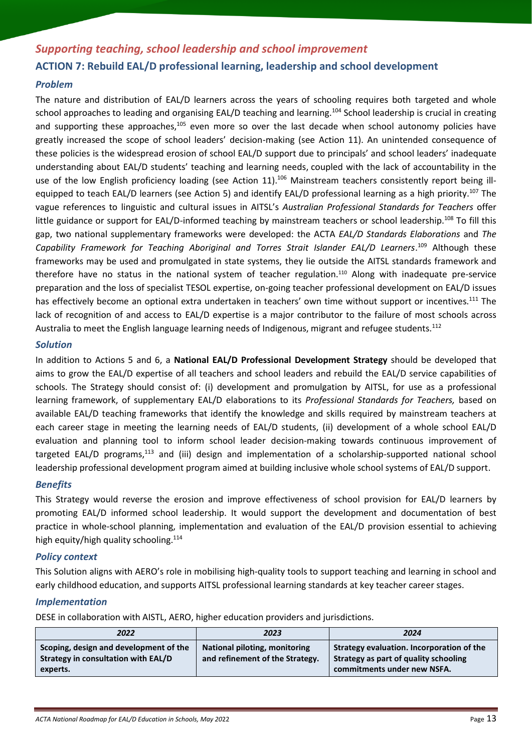# <span id="page-12-0"></span>*Supporting teaching, school leadership and school improvement* **ACTION 7: Rebuild EAL/D professional learning, leadership and school development**

### *Problem*

The nature and distribution of EAL/D learners across the years of schooling requires both targeted and whole school approaches to leading and organising EAL/D teaching and learning.<sup>104</sup> School leadership is crucial in creating and supporting these approaches,<sup>105</sup> even more so over the last decade when school autonomy policies have greatly increased the scope of school leaders' decision-making (see Action 11). An unintended consequence of these policies is the widespread erosion of school EAL/D support due to principals' and school leaders' inadequate understanding about EAL/D students' teaching and learning needs, coupled with the lack of accountability in the use of the low English proficiency loading (see Action 11).<sup>106</sup> Mainstream teachers consistently report being illequipped to teach EAL/D learners (see Action 5) and identify EAL/D professional learning as a high priority.<sup>107</sup> The vague references to linguistic and cultural issues in AITSL's *Australian Professional Standards for Teachers* offer little guidance or support for EAL/D-informed teaching by mainstream teachers or school leadership.<sup>108</sup> To fill this gap, two national supplementary frameworks were developed: the ACTA *EAL/D Standards Elaborations* and *The Capability Framework for Teaching Aboriginal and Torres Strait Islander EAL/D Learners*. <sup>109</sup> Although these frameworks may be used and promulgated in state systems, they lie outside the AITSL standards framework and therefore have no status in the national system of teacher regulation.<sup>110</sup> Along with inadequate pre-service preparation and the loss of specialist TESOL expertise, on-going teacher professional development on EAL/D issues has effectively become an optional extra undertaken in teachers' own time without support or incentives.<sup>111</sup> The lack of recognition of and access to EAL/D expertise is a major contributor to the failure of most schools across Australia to meet the English language learning needs of Indigenous, migrant and refugee students.<sup>112</sup>

### *Solution*

In addition to Actions 5 and 6, a **National EAL/D Professional Development Strategy** should be developed that aims to grow the EAL/D expertise of all teachers and school leaders and rebuild the EAL/D service capabilities of schools. The Strategy should consist of: (i) development and promulgation by AITSL, for use as a professional learning framework, of supplementary EAL/D elaborations to its *Professional Standards for Teachers,* based on available EAL/D teaching frameworks that identify the knowledge and skills required by mainstream teachers at each career stage in meeting the learning needs of EAL/D students, (ii) development of a whole school EAL/D evaluation and planning tool to inform school leader decision-making towards continuous improvement of targeted EAL/D programs,<sup>113</sup> and (iii) design and implementation of a scholarship-supported national school leadership professional development program aimed at building inclusive whole school systems of EAL/D support.

### *Benefits*

This Strategy would reverse the erosion and improve effectiveness of school provision for EAL/D learners by promoting EAL/D informed school leadership. It would support the development and documentation of best practice in whole-school planning, implementation and evaluation of the EAL/D provision essential to achieving high equity/high quality schooling.<sup>114</sup>

### *Policy context*

This Solution aligns with AERO's role in mobilising high-quality tools to support teaching and learning in school and early childhood education, and supports AITSL professional learning standards at key teacher career stages.

### *Implementation*

DESE in collaboration with AISTL, AERO, higher education providers and jurisdictions.

| 2022                                                                                      | 2023                                                                    | 2024                                                                                                              |
|-------------------------------------------------------------------------------------------|-------------------------------------------------------------------------|-------------------------------------------------------------------------------------------------------------------|
| Scoping, design and development of the<br>Strategy in consultation with EAL/D<br>experts. | <b>National piloting, monitoring</b><br>and refinement of the Strategy. | Strategy evaluation. Incorporation of the<br>Strategy as part of quality schooling<br>commitments under new NSFA. |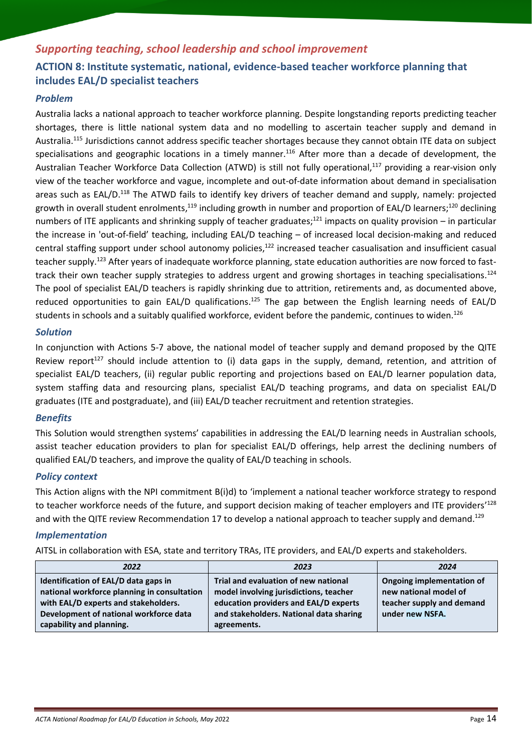# <span id="page-13-0"></span>*Supporting teaching, school leadership and school improvement* **ACTION 8: Institute systematic, national, evidence-based teacher workforce planning that includes EAL/D specialist teachers**

### *Problem*

Australia lacks a national approach to teacher workforce planning. Despite longstanding reports predicting teacher shortages, there is little national system data and no modelling to ascertain teacher supply and demand in Australia.<sup>115</sup> Jurisdictions cannot address specific teacher shortages because they cannot obtain ITE data on subject specialisations and geographic locations in a timely manner.<sup>116</sup> After more than a decade of development, the Australian Teacher Workforce Data Collection (ATWD) is still not fully operational,<sup>117</sup> providing a rear-vision only view of the teacher workforce and vague, incomplete and out-of-date information about demand in specialisation areas such as EAL/D.<sup>118</sup> The ATWD fails to identify key drivers of teacher demand and supply, namely: projected growth in overall student enrolments,<sup>119</sup> including growth in number and proportion of EAL/D learners;<sup>120</sup> declining numbers of ITE applicants and shrinking supply of teacher graduates;<sup>121</sup> impacts on quality provision – in particular the increase in 'out-of-field' teaching, including EAL/D teaching – of increased local decision-making and reduced central staffing support under school autonomy policies,<sup>122</sup> increased teacher casualisation and insufficient casual teacher supply. <sup>123</sup> After years of inadequate workforce planning, state education authorities are now forced to fasttrack their own teacher supply strategies to address urgent and growing shortages in teaching specialisations.<sup>124</sup> The pool of specialist EAL/D teachers is rapidly shrinking due to attrition, retirements and, as documented above, reduced opportunities to gain EAL/D qualifications.<sup>125</sup> The gap between the English learning needs of EAL/D students in schools and a suitably qualified workforce, evident before the pandemic, continues to widen.<sup>126</sup>

### *Solution*

In conjunction with Actions 5-7 above, the national model of teacher supply and demand proposed by the QITE Review report<sup>127</sup> should include attention to (i) data gaps in the supply, demand, retention, and attrition of specialist EAL/D teachers, (ii) regular public reporting and projections based on EAL/D learner population data, system staffing data and resourcing plans, specialist EAL/D teaching programs, and data on specialist EAL/D graduates (ITE and postgraduate), and (iii) EAL/D teacher recruitment and retention strategies.

### *Benefits*

This Solution would strengthen systems' capabilities in addressing the EAL/D learning needs in Australian schools, assist teacher education providers to plan for specialist EAL/D offerings, help arrest the declining numbers of qualified EAL/D teachers, and improve the quality of EAL/D teaching in schools.

### *Policy context*

This Action aligns with the NPI commitment B(i)d) to 'implement a national teacher workforce strategy to respond to teacher workforce needs of the future, and support decision making of teacher employers and ITE providers'<sup>128</sup> and with the QITE review Recommendation 17 to develop a national approach to teacher supply and demand.<sup>129</sup>

### *Implementation*

AITSL in collaboration with ESA, state and territory TRAs, ITE providers, and EAL/D experts and stakeholders.

| 2022                                                                                                                                                                                              | 2023                                                                                                                                                                              | 2024                                                                                               |
|---------------------------------------------------------------------------------------------------------------------------------------------------------------------------------------------------|-----------------------------------------------------------------------------------------------------------------------------------------------------------------------------------|----------------------------------------------------------------------------------------------------|
| Identification of EAL/D data gaps in<br>national workforce planning in consultation<br>with EAL/D experts and stakeholders.<br>Development of national workforce data<br>capability and planning. | Trial and evaluation of new national<br>model involving jurisdictions, teacher<br>education providers and EAL/D experts<br>and stakeholders. National data sharing<br>agreements. | Ongoing implementation of<br>new national model of<br>teacher supply and demand<br>under new NSFA. |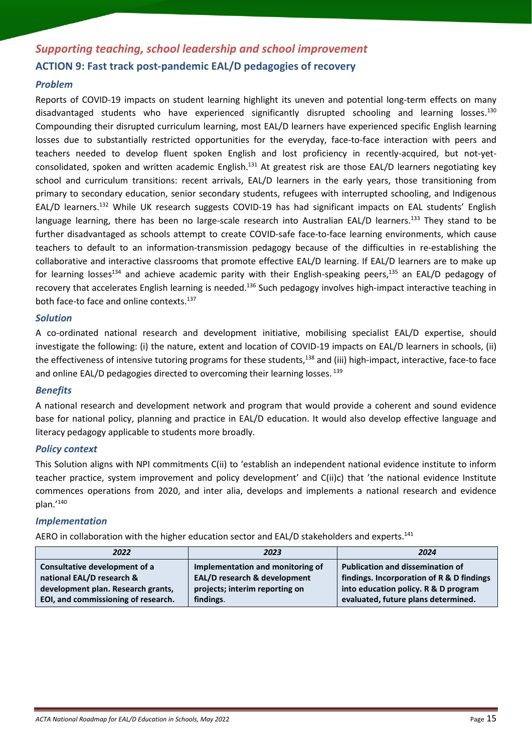# <span id="page-14-0"></span>*Supporting teaching, school leadership and school improvement* **ACTION 9: Fast track post-pandemic EAL/D pedagogies of recovery**

### *Problem*

Reports of COVID-19 impacts on student learning highlight its uneven and potential long-term effects on many disadvantaged students who have experienced significantly disrupted schooling and learning losses. 130 Compounding their disrupted curriculum learning, most EAL/D learners have experienced specific English learning losses due to substantially restricted opportunities for the everyday, face-to-face interaction with peers and teachers needed to develop fluent spoken English and lost proficiency in recently-acquired, but not-yetconsolidated, spoken and written academic English.<sup>131</sup> At greatest risk are those EAL/D learners negotiating key school and curriculum transitions: recent arrivals, EAL/D learners in the early years, those transitioning from primary to secondary education, senior secondary students, refugees with interrupted schooling, and Indigenous EAL/D learners.<sup>132</sup> While UK research suggests COVID-19 has had significant impacts on EAL students' English language learning, there has been no large-scale research into Australian EAL/D learners.<sup>133</sup> They stand to be further disadvantaged as schools attempt to create COVID-safe face-to-face learning environments, which cause teachers to default to an information-transmission pedagogy because of the difficulties in re-establishing the collaborative and interactive classrooms that promote effective EAL/D learning. If EAL/D learners are to make up for learning losses<sup>134</sup> and achieve academic parity with their English-speaking peers,<sup>135</sup> an EAL/D pedagogy of recovery that accelerates English learning is needed.<sup>136</sup> Such pedagogy involves high-impact interactive teaching in both face-to face and online contexts. 137

### *Solution*

A co-ordinated national research and development initiative, mobilising specialist EAL/D expertise, should investigate the following: (i) the nature, extent and location of COVID-19 impacts on EAL/D learners in schools, (ii) the effectiveness of intensive tutoring programs for these students,<sup>138</sup> and (iii) high-impact, interactive, face-to face and online EAL/D pedagogies directed to overcoming their learning losses. 139

### *Benefits*

A national research and development network and program that would provide a coherent and sound evidence base for national policy, planning and practice in EAL/D education. It would also develop effective language and literacy pedagogy applicable to students more broadly.

### *Policy context*

This Solution aligns with NPI commitments C(ii) to 'establish an independent national evidence institute to inform teacher practice, system improvement and policy development' and C(ii)c) that 'the national evidence Institute commences operations from 2020, and inter alia, develops and implements a national research and evidence plan.'<sup>140</sup>

### *Implementation*

AERO in collaboration with the higher education sector and EAL/D stakeholders and experts.<sup>141</sup>

| 2022                                                                                             | 2023                                                             | 2024                                                                                                                         |
|--------------------------------------------------------------------------------------------------|------------------------------------------------------------------|------------------------------------------------------------------------------------------------------------------------------|
| Consultative development of a<br>national EAL/D research &<br>development plan. Research grants, | Implementation and monitoring of<br>EAL/D research & development | <b>Publication and dissemination of</b><br>findings. Incorporation of R & D findings<br>into education policy. R & D program |
| EOI, and commissioning of research.                                                              | projects; interim reporting on<br>findings.                      | evaluated, future plans determined.                                                                                          |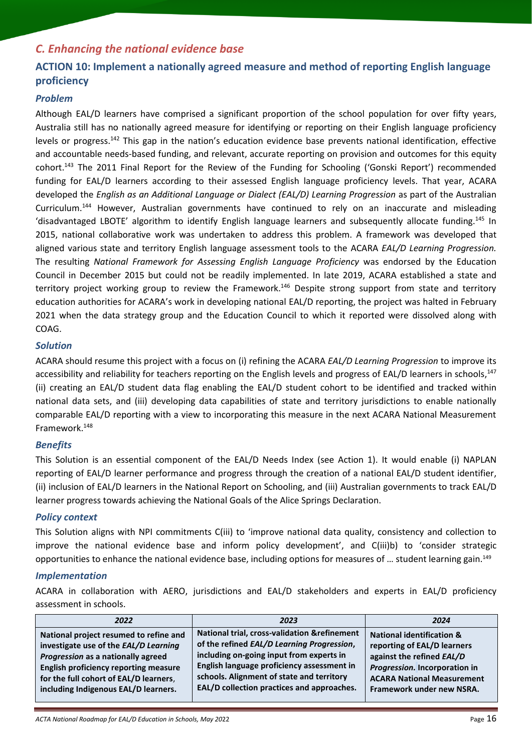# <span id="page-15-0"></span>*C. Enhancing the national evidence base*

# <span id="page-15-1"></span>**ACTION 10: Implement a nationally agreed measure and method of reporting English language proficiency**

### *Problem*

Although EAL/D learners have comprised a significant proportion of the school population for over fifty years, Australia still has no nationally agreed measure for identifying or reporting on their English language proficiency levels or progress.<sup>142</sup> This gap in the nation's education evidence base prevents national identification, effective and accountable needs-based funding, and relevant, accurate reporting on provision and outcomes for this equity cohort.<sup>143</sup> The 2011 Final Report for the Review of the Funding for Schooling ('Gonski Report') recommended funding for EAL/D learners according to their assessed English language proficiency levels. That year, ACARA developed the *English as an Additional Language or Dialect (EAL/D) Learning Progression* as part of the Australian Curriculum.<sup>144</sup> However, Australian governments have continued to rely on an inaccurate and misleading 'disadvantaged LBOTE' algorithm to identify English language learners and subsequently allocate funding.<sup>145</sup> In 2015, national collaborative work was undertaken to address this problem. A framework was developed that aligned various state and territory English language assessment tools to the ACARA *EAL/D Learning Progression.* The resulting *National Framework for Assessing English Language Proficiency* was endorsed by the Education Council in December 2015 but could not be readily implemented. In late 2019, ACARA established a state and territory project working group to review the Framework.<sup>146</sup> Despite strong support from state and territory education authorities for ACARA's work in developing national EAL/D reporting, the project was halted in February 2021 when the data strategy group and the Education Council to which it reported were dissolved along with COAG.

### *Solution*

ACARA should resume this project with a focus on (i) refining the ACARA *EAL/D Learning Progression* to improve its accessibility and reliability for teachers reporting on the English levels and progress of EAL/D learners in schools, 147 (ii) creating an EAL/D student data flag enabling the EAL/D student cohort to be identified and tracked within national data sets, and (iii) developing data capabilities of state and territory jurisdictions to enable nationally comparable EAL/D reporting with a view to incorporating this measure in the next ACARA National Measurement Framework.<sup>148</sup>

### *Benefits*

This Solution is an essential component of the EAL/D Needs Index (see Action 1). It would enable (i) NAPLAN reporting of EAL/D learner performance and progress through the creation of a national EAL/D student identifier, (ii) inclusion of EAL/D learners in the National Report on Schooling, and (iii) Australian governments to track EAL/D learner progress towards achieving the National Goals of the Alice Springs Declaration.

### *Policy context*

This Solution aligns with NPI commitments C(iii) to 'improve national data quality, consistency and collection to improve the national evidence base and inform policy development', and C(iii)b) to 'consider strategic opportunities to enhance the national evidence base, including options for measures of ... student learning gain.<sup>149</sup>

### *Implementation*

ACARA in collaboration with AERO, jurisdictions and EAL/D stakeholders and experts in EAL/D proficiency assessment in schools.

| 2022                                         | 2023                                          | 2024                                 |
|----------------------------------------------|-----------------------------------------------|--------------------------------------|
| National project resumed to refine and       | National trial, cross-validation & refinement | <b>National identification &amp;</b> |
| investigate use of the EAL/D Learning        | of the refined EAL/D Learning Progression,    | reporting of EAL/D learners          |
| Progression as a nationally agreed           | including on-going input from experts in      | against the refined EAL/D            |
| <b>English proficiency reporting measure</b> | English language proficiency assessment in    | Progression. Incorporation in        |
| for the full cohort of EAL/D learners,       | schools. Alignment of state and territory     | <b>ACARA National Measurement</b>    |
| including Indigenous EAL/D learners.         | EAL/D collection practices and approaches.    | Framework under new NSRA.            |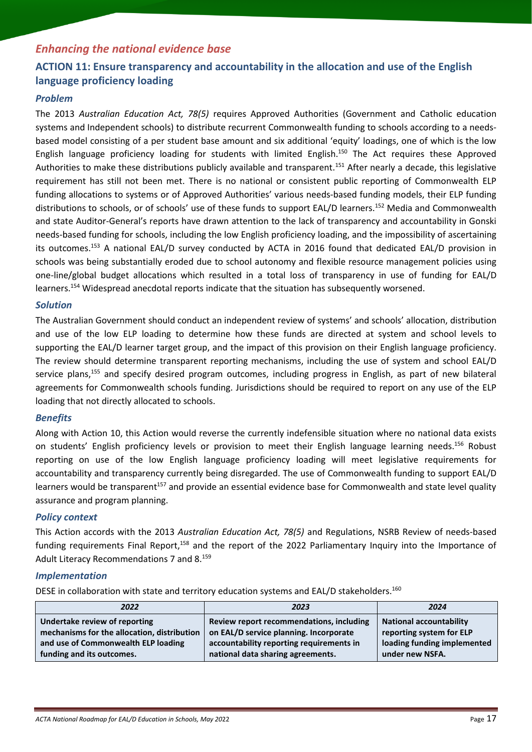# *Enhancing the national evidence base*

# <span id="page-16-0"></span>**ACTION 11: Ensure transparency and accountability in the allocation and use of the English language proficiency loading**

### *Problem*

The 2013 *Australian Education Act, 78(5)* requires Approved Authorities (Government and Catholic education systems and Independent schools) to distribute recurrent Commonwealth funding to schools according to a needsbased model consisting of a per student base amount and six additional 'equity' loadings, one of which is the low English language proficiency loading for students with limited English.<sup>150</sup> The Act requires these Approved Authorities to make these distributions publicly available and transparent.<sup>151</sup> After nearly a decade, this legislative requirement has still not been met. There is no national or consistent public reporting of Commonwealth ELP funding allocations to systems or of Approved Authorities' various needs-based funding models, their ELP funding distributions to schools, or of schools' use of these funds to support EAL/D learners.<sup>152</sup> Media and Commonwealth and state Auditor-General's reports have drawn attention to the lack of transparency and accountability in Gonski needs-based funding for schools, including the low English proficiency loading, and the impossibility of ascertaining its outcomes.<sup>153</sup> A national EAL/D survey conducted by ACTA in 2016 found that dedicated EAL/D provision in schools was being substantially eroded due to school autonomy and flexible resource management policies using one-line/global budget allocations which resulted in a total loss of transparency in use of funding for EAL/D learners. <sup>154</sup> Widespread anecdotal reports indicate that the situation has subsequently worsened.

### *Solution*

The Australian Government should conduct an independent review of systems' and schools' allocation, distribution and use of the low ELP loading to determine how these funds are directed at system and school levels to supporting the EAL/D learner target group, and the impact of this provision on their English language proficiency. The review should determine transparent reporting mechanisms, including the use of system and school EAL/D service plans, <sup>155</sup> and specify desired program outcomes, including progress in English, as part of new bilateral agreements for Commonwealth schools funding. Jurisdictions should be required to report on any use of the ELP loading that not directly allocated to schools.

### *Benefits*

Along with Action 10, this Action would reverse the currently indefensible situation where no national data exists on students' English proficiency levels or provision to meet their English language learning needs.<sup>156</sup> Robust reporting on use of the low English language proficiency loading will meet legislative requirements for accountability and transparency currently being disregarded. The use of Commonwealth funding to support EAL/D learners would be transparent<sup>157</sup> and provide an essential evidence base for Commonwealth and state level quality assurance and program planning.

### *Policy context*

This Action accords with the 2013 *Australian Education Act, 78(5)* and Regulations, NSRB Review of needs-based funding requirements Final Report,<sup>158</sup> and the report of the 2022 Parliamentary Inquiry into the Importance of Adult Literacy Recommendations 7 and 8.<sup>159</sup>

### *Implementation*

DESE in collaboration with state and territory education systems and EAL/D stakeholders.<sup>160</sup>

| 2022                                        | 2023                                     | 2024                           |
|---------------------------------------------|------------------------------------------|--------------------------------|
| Undertake review of reporting               | Review report recommendations, including | <b>National accountability</b> |
| mechanisms for the allocation, distribution | on EAL/D service planning. Incorporate   | reporting system for ELP       |
| and use of Commonwealth ELP loading         | accountability reporting requirements in | loading funding implemented    |
| funding and its outcomes.                   | national data sharing agreements.        | under new NSFA.                |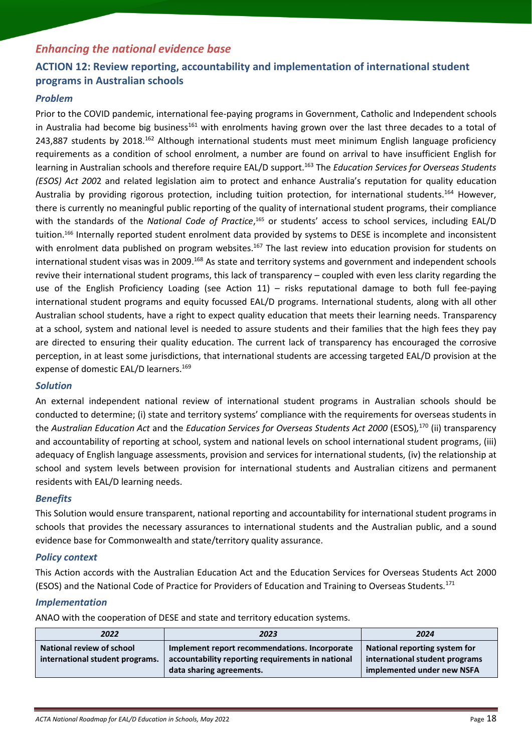## *Enhancing the national evidence base*

# <span id="page-17-0"></span>**ACTION 12: Review reporting, accountability and implementation of international student programs in Australian schools**

### *Problem*

Prior to the COVID pandemic, international fee-paying programs in Government, Catholic and Independent schools in Australia had become big business<sup>161</sup> with enrolments having grown over the last three decades to a total of 243,887 students by 2018.<sup>162</sup> Although international students must meet minimum English language proficiency requirements as a condition of school enrolment, a number are found on arrival to have insufficient English for learning in Australian schools and therefore require EAL/D support.<sup>163</sup> The *Education Services for Overseas Students (ESOS) Act 200*2 and related legislation aim to protect and enhance Australia's reputation for quality education Australia by providing rigorous protection, including tuition protection, for international students.<sup>164</sup> However, there is currently no meaningful public reporting of the quality of international student programs, their compliance with the standards of the *National Code of Practice*,<sup>165</sup> or students' access to school services, including EAL/D tuition.<sup>166</sup> Internally reported student enrolment data provided by systems to DESE is incomplete and inconsistent with enrolment data published on program websites.<sup>167</sup> The last review into education provision for students on international student visas was in 2009.<sup>168</sup> As state and territory systems and government and independent schools revive their international student programs, this lack of transparency – coupled with even less clarity regarding the use of the English Proficiency Loading (see Action 11) – risks reputational damage to both full fee-paying international student programs and equity focussed EAL/D programs. International students, along with all other Australian school students, have a right to expect quality education that meets their learning needs. Transparency at a school, system and national level is needed to assure students and their families that the high fees they pay are directed to ensuring their quality education. The current lack of transparency has encouraged the corrosive perception, in at least some jurisdictions, that international students are accessing targeted EAL/D provision at the expense of domestic EAL/D learners.<sup>169</sup>

### *Solution*

An external independent national review of international student programs in Australian schools should be conducted to determine; (i) state and territory systems' compliance with the requirements for overseas students in the *Australian Education Act* and the *Education Services for Overseas Students Act 2000* (ESOS)*,* <sup>170</sup> (ii) transparency and accountability of reporting at school, system and national levels on school international student programs, (iii) adequacy of English language assessments, provision and services for international students, (iv) the relationship at school and system levels between provision for international students and Australian citizens and permanent residents with EAL/D learning needs.

### *Benefits*

This Solution would ensure transparent, national reporting and accountability for international student programs in schools that provides the necessary assurances to international students and the Australian public, and a sound evidence base for Commonwealth and state/territory quality assurance.

### *Policy context*

This Action accords with the Australian Education Act and the Education Services for Overseas Students Act 2000 (ESOS) and the National Code of Practice for Providers of Education and Training to Overseas Students*.* 171

### *Implementation*

ANAO with the cooperation of DESE and state and territory education systems.

| 2022                                                         | 2023                                                                                                                           | 2024                                                                                          |
|--------------------------------------------------------------|--------------------------------------------------------------------------------------------------------------------------------|-----------------------------------------------------------------------------------------------|
| National review of school<br>international student programs. | Implement report recommendations. Incorporate<br>accountability reporting requirements in national<br>data sharing agreements. | National reporting system for<br>international student programs<br>implemented under new NSFA |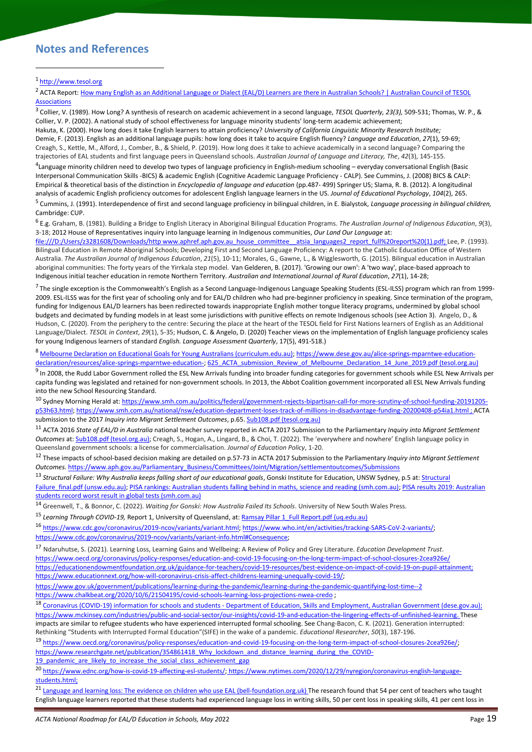### <span id="page-18-0"></span>**Notes and References**

<sup>2</sup> ACTA Report: How many English as an Additional Language or Dialect (EAL/D) Learners are there in Australian Schools? | Australian Council of TESOL **[Associations](https://tesol.org.au/how-many-english-as-an-additional-language-or-dialect-eal-d-learners-are-there-in-australian-schools/)** 

3 Collier, V. (1989). How Long? A synthesis of research on academic achievement in a second language, *TESOL Quarterly, 23(3),* 509-531; Thomas, W. P., & Collier, V. P. (2002). A national study of school effectiveness for language minority students' long-term academic achievement; Hakuta, K. (2000). How long does it take English learners to attain proficiency? *University of California Linguistic Minority Research Institute;* Demie, F. (2013). English as an additional language pupils: how long does it take to acquire English fluency? *Language and Education*, *27*(1), 59-69; Creagh, S., Kettle, M., Alford, J., Comber, B., & Shield, P. (2019). How long does it take to achieve academically in a second language? Comparing the

trajectories of EAL students and first language peers in Queensland schools. *Australian Journal of Language and Literacy, The*, *42*(3), 145-155. 4 Language minority children need to develop two types of language proficiency in English-medium schooling – everyday conversational English (Basic Interpersonal Communication Skills -BICS) & academic English (Cognitive Academic Language Proficiency - CALP). See Cummins, J. (2008) BICS & CALP: Empirical & theoretical basis of the distinction in *Encyclopedia of language and education* (pp.487- 499) Springer US; Slama, R. B. (2012). A longitudinal analysis of academic English proficiency outcomes for adolescent English language learners in the US. *Journal of Educational Psychology*, *104*(2), 265. 5 Cummins, J. (1991). Interdependence of first and second language proficiency in bilingual children, in E. Bialystok, *Language processing in bilingual children,* 

Cambridge: CUP.

6 E.g. Graham, B. (1981). Building a Bridge to English Literacy in Aboriginal Bilingual Education Programs. *The Australian Journal of Indigenous Education*, *9*(3), 3-18; 2012 House of Representatives inquiry into language learning in Indigenous communities, *Our Land Our Language* at:

file:///D:/Users/z3281608/Downloads/http www.aphref.aph.gov.au\_house\_committee\_atsia\_languages2\_report\_full%20report%20(1).pdf; Lee, P. (1993). Bilingual Education in Remote Aboriginal Schools; Developing First and Second Language Proficiency: A report to the Catholic Education Office of Western Australia. *The Australian Journal of Indigenous Education*, *21*(5), 10-11; Morales, G., Gawne, L., & Wigglesworth, G. (2015). Bilingual education in Australian aboriginal communities: The forty years of the Yirrkala step model. Van Gelderen, B. (2017). 'Growing our own': A 'two way', place-based approach to Indigenous initial teacher education in remote Northern Territory. *Australian and International Journal of Rural Education*, *27*(1), 14-28;

 $^7$  The single exception is the Commonwealth's English as a Second Language-Indigenous Language Speaking Students (ESL-ILSS) program which ran from 1999-2009. ESL-ILSS was for the first year of schooling only and for EAL/D children who had pre-beginner proficiency in speaking. Since termination of the program, funding for Indigenous EAL/D learners has been redirected towards inappropriate English mother tongue literacy programs, undermined by global school budgets and decimated by funding models in at least some jurisdictions with punitive effects on remote Indigenous schools (see Action 3). Angelo, D., & Hudson, C. (2020). From the periphery to the centre: Securing the place at the heart of the TESOL field for First Nations learners of English as an Additional Language/Dialect. *TESOL in Context*, *29*(1), 5-35; Hudson, C. & Angelo, D. (2020) Teacher views on the implementation of English language proficiency scales for young Indigenous learners of standard *English. Language Assessment Quarterly*, 17(5), 491-518.)

8 [Melbourne Declaration on Educational Goals for Young Australians \(curriculum.edu.au\);](http://www.curriculum.edu.au/verve/_resources/National_Declaration_on_the_Educational_Goals_for_Young_Australians.pdf) [https://www.dese.gov.au/alice-springs-mparntwe-education](https://www.dese.gov.au/alice-springs-mparntwe-education-declaration/resources/alice-springs-mparntwe-education-)[declaration/resources/alice-springs-mparntwe-education-;](https://www.dese.gov.au/alice-springs-mparntwe-education-declaration/resources/alice-springs-mparntwe-education-) [625\\_ACTA\\_submission\\_Review\\_of\\_Melbourne\\_Declaration\\_14\\_June\\_2019.pdf \(tesol.org.au\)](https://tesol.org.au/wp-content/uploads/2019/01/625_ACTA_submission_Review_of_Melbourne_Declaration_14_June_2019.pdf)

 $^9$  In 2008, the Rudd Labor Government rolled the ESL New Arrivals funding into broader funding categories for government schools while ESL New Arrivals per capita funding was legislated and retained for non-government schools. In 2013, the Abbot Coalition government incorporated all ESL New Arrivals funding into the new School Resourcing Standard.

<sup>10</sup> Sydney Morning Herald at: [https://www.smh.com.au/politics/federal/government-rejects-bipartisan-call-for-more-scrutiny-of-school-funding-20191205](https://www.smh.com.au/politics/federal/government-rejects-bipartisan-call-for-more-scrutiny-of-school-funding-20191205-p53h63.html) [p53h63.html;](https://www.smh.com.au/politics/federal/government-rejects-bipartisan-call-for-more-scrutiny-of-school-funding-20191205-p53h63.html)<https://www.smh.com.au/national/nsw/education-department-loses-track-of-millions-in-disadvantage-funding-20200408-p54ia1.html> ; ACTA submission to the 2017 *Inquiry into Migrant Settlement Outcomes*, p.65. **Sub108**.pdf (tesol.org.au)

<sup>11</sup> ACTA 2016 *State of EAL/D in Australia* national teacher survey reported in ACTA 2017 Submission to the Parliamentary *Inquiry into Migrant Settlement Outcomes* at[: Sub108.pdf \(tesol.org.au\);](https://tesol.org.au/wp-content/uploads/2019/01/Sub108.pdf) Creagh, S., Hogan, A., Lingard, B., & Choi, T. (2022). The 'everywhere and nowhere' English language policy in Queensland government schools: a license for commercialisation. *Journal of Education Policy*, 1-20.

<sup>12</sup> These impacts of school-based decision making are detailed on p.57-73 in ACTA 2017 Submission to the Parliamentary *Inquiry into Migrant Settlement Outcomes.* [https://www.aph.gov.au/Parliamentary\\_Business/Committees/Joint/Migration/settlementoutcomes/Submissions](https://www.aph.gov.au/Parliamentary_Business/Committees/Joint/Migration/settlementoutcomes/Submissions)

<sup>13</sup> Structural Failure: Why Australia keeps falling short of our educational goals, Gonski Institute for Education, UNSW Sydney, p.5 at: Structural [Failure\\_final.pdf \(unsw.edu.au\);](https://www.gie.unsw.edu.au/sites/default/files/documents/Structural%20Failure_final.pdf#:~:text=This%20report%2C%20Structural%20failure%3A%20Why%20Australia%20keeps%20falling,recommendations%2C%20the%20deterioration%20shows%20little%20sign%20of%20abating.) [PISA rankings: Australian students falling behind in maths, science and reading \(smh.com.au\);](https://www.smh.com.au/politics/federal/alarm-bells-australian-students-falling-behind-in-maths-science-and-reading-20191203-p53gho.html) PISA results 2019: Australian [students record worst result in global tests \(smh.com.au\)](https://www.smh.com.au/education/alarm-bells-australian-students-record-worst-result-in-global-tests-20191203-p53gie.html)

<sup>14</sup> Greenwell, T., & Bonnor, C. (2022). *Waiting for Gonski: How Australia Failed Its Schools*. University of New South Wales Press.

<sup>15</sup> Learning Through COVID-19, Report 1, University of Queensland, at: **Ramsay Pillar 1\_Full Report.pdf** (uq.edu.au)

<sup>16</sup> [https://www.cdc.gov/coronavirus/2019-ncov/variants/variant.html;](https://www.cdc.gov/coronavirus/2019-ncov/variants/variant.html) [https://www.who.int/en/activities/tracking-SARS-CoV-2-variants/;](https://www.who.int/en/activities/tracking-SARS-CoV-2-variants/) [https://www.cdc.gov/coronavirus/2019-ncov/variants/variant-info.html#Consequence;](https://www.cdc.gov/coronavirus/2019-ncov/variants/variant-info.html#Consequence)

<sup>17</sup> Ndaruhutse, S. (2021). Learning Loss, Learning Gains and Wellbeing: A Review of Policy and Grey Literature. *Education Development Trust*. [https://www.oecd.org/coronavirus/policy-responses/education-and-covid-19-focusing-on-the-long-term-impact-of-school-closures-2cea926e/](https://www.oecd.org/coronavirus/policy-responses/education-and-covid-19-focusing-on-the-long-term-impact-of-school-closures-2cea926e/https:/educationendowmentfoundation.org.uk/guidance-for-teachers/covid-19-resources/best-evidence-on-impact-of-covid-19-on-pupil-attainment;) [https://educationendowmentfoundation.org.uk/guidance-for-teachers/covid-19-resources/best-evidence-on-impact-of-covid-19-on-pupil-attainment;](https://www.oecd.org/coronavirus/policy-responses/education-and-covid-19-focusing-on-the-long-term-impact-of-school-closures-2cea926e/https:/educationendowmentfoundation.org.uk/guidance-for-teachers/covid-19-resources/best-evidence-on-impact-of-covid-19-on-pupil-attainment;)  [https://www.educationnext.org/how-will-coronavirus-crisis-affect-childrens-learning-unequally-covid-19/;](https://www.educationnext.org/how-will-coronavirus-crisis-affect-childrens-learning-unequally-covid-19/)

<https://www.gov.uk/government/publications/learning-during-the-pandemic/learning-during-the-pandemic-quantifying-lost-time--2>

<https://www.chalkbeat.org/2020/10/6/21504195/covid-schools-learning-loss-projections-nwea-credo> ;

18 Coronavirus (COVID-19) information for schools and students - [Department of Education, Skills and Employment, Australian Government \(dese.gov.au\);](https://www.dese.gov.au/covid-19/schools#research) [https://www.mckinsey.com/industries/public-and-social-sector/our-insights/covid-19-and-education-the-lingering-effects-of-unfinished-learning.](https://www.mckinsey.com/industries/public-and-social-sector/our-insights/covid-19-and-education-the-lingering-effects-of-unfinished-learning) These impacts are similar to refugee students who have experienced interrupted formal schooling. See Chang-Bacon, C. K. (2021). Generation interrupted: Rethinking "Students with Interrupted Formal Education"(SIFE) in the wake of a pandemic. *Educational Researcher*, *50*(3), 187-196.

<sup>19</sup> [https://www.oecd.org/coronavirus/policy-responses/education-and-covid-19-focusing-on-the-long-term-impact-of-school-closures-2cea926e/;](https://www.oecd.org/coronavirus/policy-responses/education-and-covid-19-focusing-on-the-long-term-impact-of-school-closures-2cea926e/)  [https://www.researchgate.net/publication/354861418\\_Why\\_lockdown\\_and\\_distance\\_learning\\_during\\_the\\_COVID-](https://www.researchgate.net/publication/354861418_Why_lockdown_and_distance_learning_during_the_COVID-19_pandemic_are_likely_to_increase_the_social_class_achievement_gap)

[19\\_pandemic\\_are\\_likely\\_to\\_increase\\_the\\_social\\_class\\_achievement\\_gap](https://www.researchgate.net/publication/354861418_Why_lockdown_and_distance_learning_during_the_COVID-19_pandemic_are_likely_to_increase_the_social_class_achievement_gap)

20 [https://www.ednc.org/how-is-covid-19-affecting-esl-students/;](https://www.ednc.org/how-is-covid-19-affecting-esl-students/) [https://www.nytimes.com/2020/12/29/nyregion/coronavirus-english-language](https://www.nytimes.com/2020/12/29/nyregion/coronavirus-english-language-students.html;)[students.html;](https://www.nytimes.com/2020/12/29/nyregion/coronavirus-english-language-students.html;)

21 [Language and learning loss: The evidence on children who use EAL \(bell-foundation.org.uk\)](https://www.bell-foundation.org.uk/app/uploads/2021/06/Language-learning-loss.pdf) The research found that 54 per cent of teachers who taught English language learners reported that these students had experienced language loss in writing skills, 50 per cent loss in speaking skills, 41 per cent loss in

<sup>1</sup> http://www.tesol.org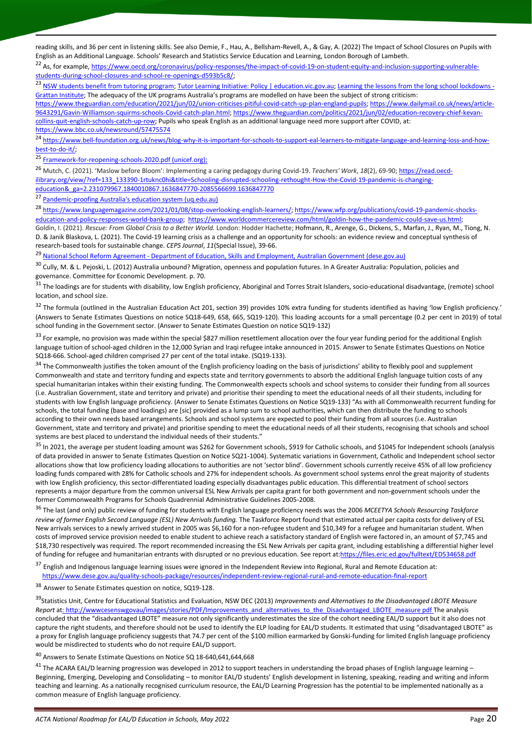reading skills, and 36 per cent in listening skills. See also Demie, F., Hau, A., Bellsham-Revell, A., & Gay, A. (2022) The Impact of School Closures on Pupils with English as an Additional Language. Schools' Research and Statistics Service Education and Learning, London Borough of Lambeth.

<sup>22</sup> As, for example[, https://www.oecd.org/coronavirus/policy-responses/the-impact-of-covid-19-on-student-equity-and-inclusion-supporting-vulnerable](https://www.oecd.org/coronavirus/policy-responses/the-impact-of-covid-19-on-student-equity-and-inclusion-supporting-vulnerable-students-during-school-closures-and-school-re-openings-d593b5c8/)[students-during-school-closures-and-school-re-openings-d593b5c8/;](https://www.oecd.org/coronavirus/policy-responses/the-impact-of-covid-19-on-student-equity-and-inclusion-supporting-vulnerable-students-during-school-closures-and-school-re-openings-d593b5c8/)

23 [NSW students benefit from tutoring program;](https://www.education.nsw.gov.au/news/media-releases/-nsw-students-benefit-from-tutoring-program) [Tutor Learning Initiative: Policy | education.vic.gov.au;](https://www2.education.vic.gov.au/pal/tutor-learning-initiative/policy) [Learning the lessons from the long school lockdowns -](https://grattan.edu.au/news/learning-the-lessons-from-the-long-school-lockdowns/) [Grattan Institute](https://grattan.edu.au/news/learning-the-lessons-from-the-long-school-lockdowns/); The adequacy of the UK programs Australia's programs are modelled on have been the subject of strong criticism: [https://www.theguardian.com/education/2021/jun/02/union-criticises-pitiful-covid-catch-up-plan-england-pupils;](https://www.theguardian.com/education/2021/jun/02/union-criticises-pitiful-covid-catch-up-plan-england-pupils) [https://www.dailymail.co.uk/news/article-](https://www.dailymail.co.uk/news/article-9643291/Gavin-Williamson-squirms-schools-Covid-catch-plan.html)[9643291/Gavin-Williamson-squirms-schools-Covid-catch-plan.html;](https://www.dailymail.co.uk/news/article-9643291/Gavin-Williamson-squirms-schools-Covid-catch-plan.html) [https://www.theguardian.com/politics/2021/jun/02/education-recovery-chief-kevan](https://www.theguardian.com/politics/2021/jun/02/education-recovery-chief-kevan-collins-quit-english-schools-catch-up-row)[collins-quit-english-schools-catch-up-row;](https://www.theguardian.com/politics/2021/jun/02/education-recovery-chief-kevan-collins-quit-english-schools-catch-up-row) Pupils who speak English as an additional language need more support after COVID, at: <https://www.bbc.co.uk/newsround/57475574>

<sup>24</sup> [https://www.bell-foundation.org.uk/news/blog-why-it-is-important-for-schools-to-support-eal-learners-to-mitigate-language-and-learning-loss-and-how](https://www.bell-foundation.org.uk/news/blog-why-it-is-important-for-schools-to-support-eal-learners-to-mitigate-language-and-learning-loss-and-how-best-to-do-it/)[best-to-do-it/;](https://www.bell-foundation.org.uk/news/blog-why-it-is-important-for-schools-to-support-eal-learners-to-mitigate-language-and-learning-loss-and-how-best-to-do-it/)

25 [Framework-for-reopening-schools-2020.pdf \(unicef.org\);](https://www.unicef.org/media/68366/file/Framework-for-reopening-schools-2020.pdf)

<sup>26</sup> Mutch, C. (2021). 'Maslow before Bloom': Implementing a caring pedagogy during Covid-19. *Teachers' Work*, *18*(2), 69-90[; https://read.oecd](https://read.oecd-ilibrary.org/view/?ref=133_133390-1rtuknc0hi&title=Schooling-disrupted-schooling-rethought-How-the-Covid-19-pandemic-is-changing-education&_ga=2.231079967.1840010867.1636847770-2085566699.1636847770)[ilibrary.org/view/?ref=133\\_133390-1rtuknc0hi&title=Schooling-disrupted-schooling-rethought-How-the-Covid-19-pandemic-is-changing](https://read.oecd-ilibrary.org/view/?ref=133_133390-1rtuknc0hi&title=Schooling-disrupted-schooling-rethought-How-the-Covid-19-pandemic-is-changing-education&_ga=2.231079967.1840010867.1636847770-2085566699.1636847770)[education&\\_ga=2.231079967.1840010867.1636847770-2085566699.1636847770](https://read.oecd-ilibrary.org/view/?ref=133_133390-1rtuknc0hi&title=Schooling-disrupted-schooling-rethought-How-the-Covid-19-pandemic-is-changing-education&_ga=2.231079967.1840010867.1636847770-2085566699.1636847770)

<sup>27</sup> [Pandemic-proofing Australia's education system \(uq.edu.au\)](https://stories.uq.edu.au/news/2021/pandemic-proofing-australias-education-system/index.html)

<sup>28</sup> [https://www.languagemagazine.com/2021/01/08/stop-overlooking-english-learners/;](https://www.languagemagazine.com/2021/01/08/stop-overlooking-english-learners/) [https://www.wfp.org/publications/covid-19-pandemic-shocks](https://www.wfp.org/publications/covid-19-pandemic-shocks-education-and-policy-responses-world-bank-group)[education-and-policy-responses-world-bank-group;](https://www.wfp.org/publications/covid-19-pandemic-shocks-education-and-policy-responses-world-bank-group) [https://www.worldcommercereview.com/html/goldin-how-the-pandemic-could-save-us.html;](https://www.worldcommercereview.com/html/goldin-how-the-pandemic-could-save-us.html) Goldin, I. (2021). *Rescue: From Global Crisis to a Better World.* London: Hodder Hachette; Hofmann, R., Arenge, G., Dickens, S., Marfan, J., Ryan, M., Tiong, N. D. & Janik Blaskova, L. (2021). The Covid-19 learning crisis as a challenge and an opportunity for schools: an evidence review and conceptual synthesis of research-based tools for sustainable change. *CEPS Journal*, *11*(Special Issue), 39-66.

<sup>29</sup> National School Reform Agreement - [Department of Education, Skills and Employment, Australian Government \(dese.gov.au\)](https://www.dese.gov.au/quality-schools-package/resources/national-school-reform-agreement)

<sup>30</sup> Cully, M. & L. Pejoski, L. (2012) Australia unbound? Migration, openness and population futures. In A Greater Australia: Population, policies and governance. Committee for Economic Development. p. 70.

 $31$  The loadings are for students with disability, low English proficiency, Aboriginal and Torres Strait Islanders, socio-educational disadvantage, (remote) school location, and school size.

<sup>32</sup> The formula (outlined in the Australian Education Act 201, section 39) provides 10% extra funding for students identified as having 'low English proficiency.' (Answers to Senate Estimates Questions on notice SQ18-649, 658, 665, SQ19-120). This loading accounts for a small percentage (0.2 per cent in 2019) of total school funding in the Government sector. (Answer to Senate Estimates Question on notice SQ19-132)

<sup>33</sup> For example, no provision was made within the special \$827 million resettlement allocation over the four year funding period for the additional English language tuition of school-aged children in the 12,000 Syrian and Iraqi refugee intake announced in 2015. Answer to Senate Estimates Questions on Notice SQ18-666. School-aged children comprised 27 per cent of the total intake. (SQ19-133).

<sup>34</sup> The Commonwealth justifies the token amount of the English proficiency loading on the basis of jurisdictions' ability to flexibly pool and supplement Commonwealth and state and territory funding and expects state and territory governments to absorb the additional English language tuition costs of any special humanitarian intakes within their existing funding. The Commonwealth expects schools and school systems to consider their funding from all sources (i.e. Australian Government, state and territory and private) and prioritise their spending to meet the educational needs of all their students, including for students with low English language proficiency. (Answer to Senate Estimates Questions on Notice SQ19-133) "As with all Commonwealth recurrent funding for schools, the total funding (base and loadings) are [sic] provided as a lump sum to school authorities, which can then distribute the funding to schools according to their own needs based arrangements. Schools and school systems are expected to pool their funding from all sources (i.e. Australian Government, state and territory and private) and prioritise spending to meet the educational needs of all their students, recognising that schools and school systems are best placed to understand the individual needs of their students."

<sup>35</sup> In 2021, the average per student loading amount was \$262 for Government schools, \$919 for Catholic schools, and \$1045 for Independent schools (analysis of data provided in answer to Senate Estimates Question on Notice SQ21-1004). Systematic variations in Government, Catholic and Independent school sector allocations show that low proficiency loading allocations to authorities are not 'sector blind'. Government schools currently receive 45% of all low proficiency loading funds compared with 28% for Catholic schools and 27% for independent schools. As government school systems enrol the great majority of students with low English proficiency, this sector-differentiated loading especially disadvantages public education. This differential treatment of school sectors represents a major departure from the common universal ESL New Arrivals per capita grant for both government and non-government schools under the former Commonwealth Programs for Schools Quadrennial Administrative Guidelines 2005-2008.

<sup>36</sup> The last (and only) public review of funding for students with English language proficiency needs was the 2006 *MCEETYA Schools Resourcing Taskforce review of former English Second Language (ESL) New Arrivals funding.* The Taskforce Report found that estimated actual per capita costs for delivery of ESL New arrivals services to a newly arrived student in 2005 was \$6,160 for a non-refugee student and \$10,349 for a refugee and humanitarian student. When costs of improved service provision needed to enable student to achieve reach a satisfactory standard of English were factored in, an amount of \$7,745 and \$18,730 respectively was required. The report recommended increasing the ESL New Arrivals per capita grant, including establishing a differential higher level of funding for refugee and humanitarian entrants with disrupted or no previous education. See report at[:https://files.eric.ed.gov/fulltext/ED534658.pdf](https://files.eric.ed.gov/fulltext/ED534658.pdf)

<sup>37</sup> English and Indigenous language learning issues were ignored in the Independent Review into Regional, Rural and Remote Education at: <https://www.dese.gov.au/quality-schools-package/resources/independent-review-regional-rural-and-remote-education-final-report>

<sup>38</sup> Answer to Senate Estimates question on notice, SQ19-128.

<sup>39</sup>Statistics Unit, Centre for Educational Statistics and Evaluation, NSW DEC (2013) *Improvements and Alternatives to the Disadvantaged LBOTE Measure Report* at: [http://wwwcesenswgovau/images/stories/PDF/Improvements\\_and\\_alternatives\\_to\\_the\\_Disadvantaged\\_LBOTE\\_measure pdf](http://wwwcesenswgovau/images/stories/PDF/Improvements_and_alternatives_to_the_Disadvantaged_LBOTE_measure%20pdf) The analysis concluded that the "disadvantaged LBOTE" measure not only significantly underestimates the size of the cohort needing EAL/D support but it also does not capture the right students, and therefore should not be used to identify the ELP loading for EAL/D students. It estimated that using "disadvantaged LBOTE" as a proxy for English language proficiency suggests that 74.7 per cent of the \$100 million earmarked by Gonski-funding for limited English language proficiency would be misdirected to students who do not require EAL/D support.

<sup>40</sup> Answers to Senate Estimate Questions on Notice SQ 18-640,641,644,668

 $41$  The ACARA EAL/D learning progression was developed in 2012 to support teachers in understanding the broad phases of English language learning -Beginning, Emerging, Developing and Consolidating – to monitor EAL/D students' English development in listening, speaking, reading and writing and inform teaching and learning. As a nationally recognised curriculum resource, the EAL/D Learning Progression has the potential to be implemented nationally as a common measure of English language proficiency.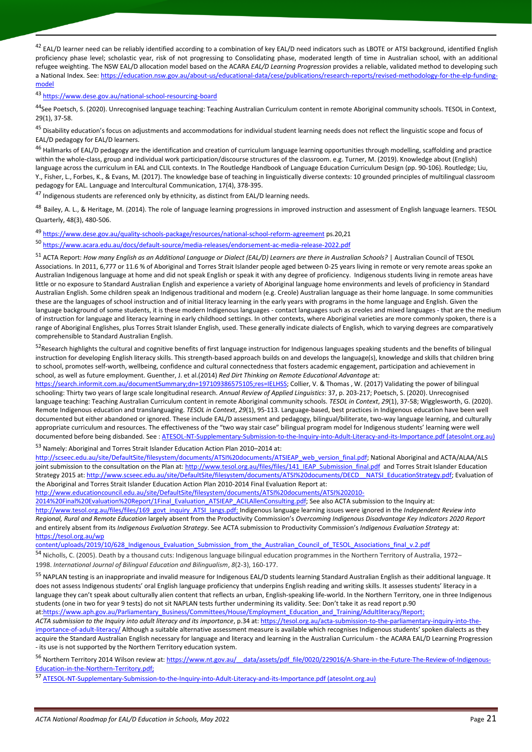<sup>42</sup> EAL/D learner need can be reliably identified according to a combination of key EAL/D need indicators such as LBOTE or ATSI background, identified English proficiency phase level; scholastic year, risk of not progressing to Consolidating phase, moderated length of time in Australian school, with an additional refugee weighting. The NSW EAL/D allocation model based on the ACARA *EAL/D Learning Progression* provides a reliable, validated method to developing such a National Index. See: [https://education.nsw.gov.au/about-us/educational-data/cese/publications/research-reports/revised-methodology-for-the-elp-funding](https://education.nsw.gov.au/about-us/educational-data/cese/publications/research-reports/revised-methodology-for-the-elp-funding-model)[model](https://education.nsw.gov.au/about-us/educational-data/cese/publications/research-reports/revised-methodology-for-the-elp-funding-model)

<sup>43</sup> <https://www.dese.gov.au/national-school-resourcing-board>

44See Poetsch, S. (2020). Unrecognised language teaching: Teaching Australian Curriculum content in remote Aboriginal community schools. TESOL in Context, 29(1), 37-58.

<sup>45</sup> Disability education's focus on adjustments and accommodations for individual student learning needs does not reflect the linguistic scope and focus of EAL/D pedagogy for EAL/D learners.

<sup>46</sup> Hallmarks of EAL/D pedagogy are the identification and creation of curriculum language learning opportunities through modelling, scaffolding and practice within the whole-class, group and individual work participation/discourse structures of the classroom. e.g. Turner, M. (2019). Knowledge about (English) language across the curriculum in EAL and CLIL contexts. In The Routledge Handbook of Language Education Curriculum Design (pp. 90-106). Routledge; Liu, Y., Fisher, L., Forbes, K., & Evans, M. (2017). The knowledge base of teaching in linguistically diverse contexts: 10 grounded principles of multilingual classroom pedagogy for EAL. Language and Intercultural Communication, 17(4), 378-395.

 $^{47}$  Indigenous students are referenced only by ethnicity, as distinct from EAL/D learning needs.

<sup>48</sup> Bailey, A. L., & Heritage, M. (2014). The role of language learning progressions in improved instruction and assessment of English language learners. TESOL Quarterly, 48(3), 480-506.

<sup>49</sup> <https://www.dese.gov.au/quality-schools-package/resources/national-school-reform-agreement> ps.20,21

<sup>50</sup> <https://www.acara.edu.au/docs/default-source/media-releases/endorsement-ac-media-release-2022.pdf>

<sup>51</sup> ACTA Report: *[How many English as an Additional Language or Dialect \(EAL/D\) Learners are there in Australian Schools?](https://tesol.org.au/how-many-english-as-an-additional-language-or-dialect-eal-d-learners-are-there-in-australian-schools/)* | Australian Council of TESOL [Associations.](https://tesol.org.au/how-many-english-as-an-additional-language-or-dialect-eal-d-learners-are-there-in-australian-schools/) In 2011, 6,777 or 11.6 % of Aboriginal and Torres Strait Islander people aged between 0-25 years living in remote or very remote areas spoke an Australian Indigenous language at home and did not speak English or speak it with any degree of proficiency. Indigenous students living in remote areas have little or no exposure to Standard Australian English and experience a variety of Aboriginal language home environments and levels of proficiency in Standard Australian English. Some children speak an Indigenous traditional and modern (e.g. Creole) Australian language as their home language. In some communities these are the languages of school instruction and of initial literacy learning in the early years with programs in the home language and English. Given the language background of some students, it is these modern Indigenous languages - contact languages such as creoles and mixed languages - that are the medium of instruction for language and literacy learning in early childhood settings. In other contexts, where Aboriginal varieties are more commonly spoken, there is a range of Aboriginal Englishes, plus Torres Strait Islander English, used. These generally indicate dialects of English, which to varying degrees are comparatively comprehensible to Standard Australian English.

<sup>52</sup>Research highlights the cultural and cognitive benefits of first language instruction for Indigenous languages speaking students and the benefits of bilingual instruction for developing English literacy skills. This strength-based approach builds on and develops the language(s), knowledge and skills that children bring to school, promotes self-worth, wellbeing, confidence and cultural connectedness that fosters academic engagement, participation and achievement in school, as well as future employment. Guenther, J. et al.(2014) *Red Dirt Thinking on Remote Educational Advantage* at:

[https://search.informit.com.au/documentSummary;dn=197109386575105;res=IELHSS;](https://search.informit.com.au/documentSummary;dn=197109386575105;res=IELHSS) Collier, V. & Thomas , W. (2017) Validating the power of bilingual schooling: Thirty two years of large scale longitudinal research. *Annual Review of Applied Linguistics*: 37, p. 203-217; Poetsch, S. (2020). Unrecognised language teaching: Teaching Australian Curriculum content in remote Aboriginal community schools. *TESOL in Context*, *29*(1), 37-58; Wigglesworth, G. (2020). Remote Indigenous education and translanguaging. *TESOL in Context*, *29*(1), 95-113. Language-based, best practices in Indigenous education have been well documented but either abandoned or ignored. These include EAL/D assessment and pedagogy, bilingual/biliterate, two-way language learning, and culturally appropriate curriculum and resources. The effectiveness of the "two way stair case" bilingual program model for Indigenous students' learning were well documented before being disbanded. See [: ATESOL-NT-Supplementary-Submission-to-the-Inquiry-into-Adult-Literacy-and-its-Importance.pdf \(atesolnt.org.au\)](https://atesolnt.org.au/wp-content/uploads/ATESOL-NT-Supplementary-Submission-to-the-Inquiry-into-Adult-Literacy-and-its-Importance.pdf)

<sup>53</sup> Namely: Aboriginal and Torres Strait Islander Education Action Plan 2010–2014 at:

[http://scseec.edu.au/site/DefaultSite/filesystem/documents/ATSI%20documents/ATSIEAP\\_web\\_version\\_final.pdf;](http://scseec.edu.au/site/DefaultSite/filesystem/documents/ATSI%20documents/ATSIEAP_web_version_final.pdf) National Aboriginal and ACTA/ALAA/ALS joint submission to the consultation on the Plan at[: http://www.tesol.org.au/files/files/141\\_IEAP\\_Submission\\_final.pdf](http://www.tesol.org.au/files/files/141_IEAP_Submission_final.pdf) and Torres Strait Islander Education Strategy 2015 at[: http://www.scseec.edu.au/site/DefaultSite/filesystem/documents/ATSI%20documents/DECD\\_\\_NATSI\\_EducationStrategy.pdf;](http://www.scseec.edu.au/site/DefaultSite/filesystem/documents/ATSI%20documents/DECD__NATSI_EducationStrategy.pdf) Evaluation of the Aboriginal and Torres Strait Islander Education Action Plan 2010-2014 Final Evaluation Report at:

[http://www.educationcouncil.edu.au/site/DefaultSite/filesystem/documents/ATSI%20documents/ATSI%202010-](http://www.educationcouncil.edu.au/site/DefaultSite/filesystem/documents/ATSI%20documents/ATSI%202010-2014%20Final%20Evaluation%20Report/1Final_Evaluation_ATSIEAP_ACILAllenConsulting.pdf)

[2014%20Final%20Evaluation%20Report/1Final\\_Evaluation\\_ATSIEAP\\_ACILAllenConsulting.pdf;](http://www.educationcouncil.edu.au/site/DefaultSite/filesystem/documents/ATSI%20documents/ATSI%202010-2014%20Final%20Evaluation%20Report/1Final_Evaluation_ATSIEAP_ACILAllenConsulting.pdf) See also ACTA submission to the Inquiry at: [http://www.tesol.org.au/files/files/169\\_govt\\_inquiry\\_ATSI\\_langs.pdf;](http://www.tesol.org.au/files/files/169_govt_inquiry_ATSI_langs.pdf) Indigenous language learning issues were ignored in the *Independent Review into Regional, Rural and Remote Education* largely absent from the Productivity Commission's *Overcoming Indigenous Disadvantage Key Indicators 2020 Report* and entirely absent from its *Indigenous Evaluation Strategy*. See ACTA submission to Productivity Commission's *Indigenous Evaluation Strategy* at: [https://tesol.org.au/wp](https://tesol.org.au/wp%20content/uploads/2019/10/628_Indigenous_Evaluation_Submission_from_the_Australian_Council_of_TESOL_Associations_final_v.2.pdf) 

content/uploads/2019/10/628 Indigenous Evaluation Submission from the Australian Council of TESOL Associations final v.2.pdf

54 Nicholls, C. (2005). Death by a thousand cuts: Indigenous language bilingual education programmes in the Northern Territory of Australia, 1972– 1998. *International Journal of Bilingual Education and Bilingualism*, *8*(2-3), 160-177.

<sup>55</sup> NAPLAN testing is an inappropriate and invalid measure for Indigenous EAL/D students learning Standard Australian English as their additional language. It does not assess Indigenous students' oral English language proficiency that underpins English reading and writing skills. It assesses students' literacy in a language they can't speak about culturally alien content that reflects an urban, English-speaking life-world. In the Northern Territory, one in three Indigenous students (one in two for year 9 tests) do not sit NAPLAN tests further undermining its validity. See: Don't take it as read report p.90 a[t:https://www.aph.gov.au/Parliamentary\\_Business/Committees/House/Employment\\_Education\\_and\\_Training/Adultliteracy/Report;](https://www.aph.gov.au/Parliamentary_Business/Committees/House/Employment_Education_and_Training/Adultliteracy/Report)

*ACTA submission to the Inquiry into adult literacy and its importance*, p.34 at: [https://tesol.org.au/acta-submission-to-the-parliamentary-inquiry-into-the](https://tesol.org.au/acta-submission-to-the-parliamentary-inquiry-into-the-importance-of-adult-literacy/)[importance-of-adult-literacy/](https://tesol.org.au/acta-submission-to-the-parliamentary-inquiry-into-the-importance-of-adult-literacy/) Although a suitable alternative assessment measure is available which recognises Indigenous students' spoken dialects as they acquire the Standard Australian English necessary for language and literacy and learning in the Australian Curriculum - the ACARA EAL/D Learning Progression - its use is not supported by the Northern Territory education system.

56 Northern Territory 2014 Wilson review at[: https://www.nt.gov.au/\\_\\_data/assets/pdf\\_file/0020/229016/A-Share-in-the-Future-The-Review-of-Indigenous-](https://www.nt.gov.au/__data/assets/pdf_file/0020/229016/A-Share-in-the-Future-The-Review-of-Indigenous-Education-in-the-Northern-Territory.pdf)[Education-in-the-Northern-Territory.pdf;](https://www.nt.gov.au/__data/assets/pdf_file/0020/229016/A-Share-in-the-Future-The-Review-of-Indigenous-Education-in-the-Northern-Territory.pdf)

<sup>57</sup> [ATESOL-NT-Supplementary-Submission-to-the-Inquiry-into-Adult-Literacy-and-its-Importance.pdf \(atesolnt.org.au\)](https://atesolnt.org.au/wp-content/uploads/ATESOL-NT-Supplementary-Submission-to-the-Inquiry-into-Adult-Literacy-and-its-Importance.pdf)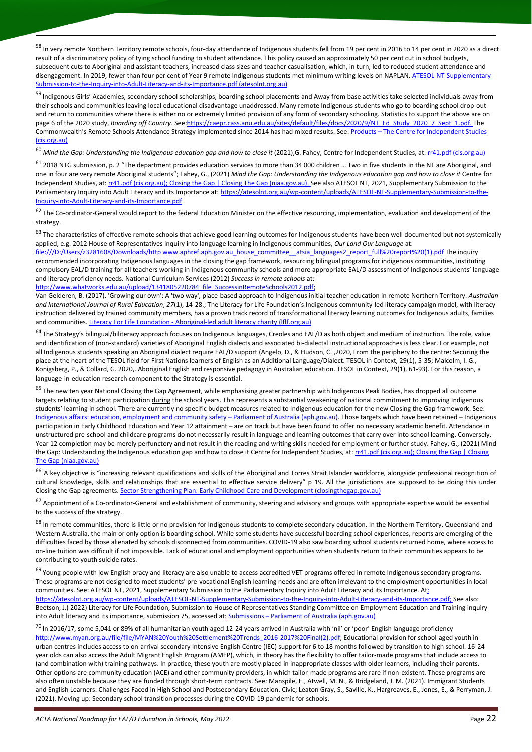<sup>58</sup> In very remote Northern Territory remote schools, four-day attendance of Indigenous students fell from 19 per cent in 2016 to 14 per cent in 2020 as a direct result of a discriminatory policy of tying school funding to student attendance. This policy caused an approximately 50 per cent cut in school budgets, subsequent cuts to Aboriginal and assistant teachers, increased class sizes and teacher casualisation, which, in turn, led to reduced student attendance and disengagement. In 2019, fewer than four per cent of Year 9 remote Indigenous students met minimum writing levels on NAPLAN. [ATESOL-NT-Supplementary-](https://atesolnt.org.au/wp-content/uploads/ATESOL-NT-Supplementary-Submission-to-the-Inquiry-into-Adult-Literacy-and-its-Importance.pdf)[Submission-to-the-Inquiry-into-Adult-Literacy-and-its-Importance.pdf \(atesolnt.org.au\)](https://atesolnt.org.au/wp-content/uploads/ATESOL-NT-Supplementary-Submission-to-the-Inquiry-into-Adult-Literacy-and-its-Importance.pdf)

<sup>59</sup> Indigenous Girls' Academies, secondary school scholarships, boarding school placements and Away from base activities take selected individuals away from their schools and communities leaving local educational disadvantage unaddressed. Many remote Indigenous students who go to boarding school drop-out and return to communities where there is either no or extremely limited provision of any form of secondary schooling. Statistics to support the above are on page 6 of the 2020 study, *Boarding off Country*. Se[e:https://caepr.cass.anu.edu.au/sites/default/files/docs/2020/9/NT\\_Ed\\_Study\\_2020\\_7\\_Sept\\_1.pdf.](https://caepr.cass.anu.edu.au/sites/default/files/docs/2020/9/NT_Ed_Study_2020_7_Sept_1.pdf) The Commonwealth's Remote Schools Attendance Strategy implemented since 2014 has had mixed results. See: Products - The Centre for Independent Studies [\(cis.org.au\)](https://www.cis.org.au/publications/research-reports/mind-the-gap-understanding-the-indigenous-education-gap-and-how-to-close-it/)

<sup>60</sup> Mind the Gap: Understanding the Indigenous education gap and how to close it (2021),G. Fahey, Centre for Independent Studies, at[: rr41.pdf \(cis.org.au\)](https://www.cis.org.au/app/uploads/2021/06/rr41.pdf#:~:text=Mind%20the%20Gap%3A%20Understanding%20the%20Indigenous%20education%20gap,in%20Australia.%20By%20school-leaving%20age%2C%20the%20average%20Indigenous)

 $^{61}$  2018 NTG submission, p. 2 "The department provides education services to more than 34 000 children ... Two in five students in the NT are Aboriginal, and one in four are very remote Aboriginal students"; Fahey, G., (2021) *Mind the Gap: Understanding the Indigenous education gap and how to close it* Centre for Independent Studies, at[: rr41.pdf \(cis.org.au\);](https://www.cis.org.au/app/uploads/2021/06/rr41.pdf#:~:text=Mind%20the%20Gap%3A%20Understanding%20the%20Indigenous%20education%20gap,in%20Australia.%20By%20school-leaving%20age%2C%20the%20average%20Indigenous) [Closing the Gap | Closing The Gap \(niaa.gov.au\).](https://ctgreport.niaa.gov.au/) See also ATESOL NT, 2021, Supplementary Submission to the Parliamentary Inquiry into Adult Literacy and its Importance at: [https://atesolnt.org.au/wp-content/uploads/ATESOL-NT-Supplementary-Submission-to-the-](https://atesolnt.org.au/wp-content/uploads/ATESOL-NT-Supplementary-Submission-to-the-Inquiry-into-Adult-Literacy-and-its-Importance.pdf)[Inquiry-into-Adult-Literacy-and-its-Importance.pdf](https://atesolnt.org.au/wp-content/uploads/ATESOL-NT-Supplementary-Submission-to-the-Inquiry-into-Adult-Literacy-and-its-Importance.pdf)

 $62$  The Co-ordinator-General would report to the federal Education Minister on the effective resourcing, implementation, evaluation and development of the strategy.

 $63$  The characteristics of effective remote schools that achieve good learning outcomes for Indigenous students have been well documented but not systemically applied, e.g. 2012 House of Representatives inquiry into language learning in Indigenous communities, *Our Land Our Language* at:

file:///D:/Users/z3281608/Downloads/http www.aphref.aph.gov.au\_house\_committee\_atsia\_languages2\_report\_full%20report%20(1).pdf The inquiry recommended incorporating Indigenous languages in the closing the gap framework, resourcing bilingual programs for indigenous communities, instituting compulsory EAL/D training for all teachers working in Indigenous community schools and more appropriate EAL/D assessment of Indigenous students' language and literacy proficiency needs. National Curriculum Services (2012) *Success in remote schools* at:

[http://www.whatworks.edu.au/upload/1341805220784\\_file\\_SuccessinRemoteSchools2012.pdf;](http://www.whatworks.edu.au/upload/1341805220784_file_SuccessinRemoteSchools2012.pdf)

Van Gelderen, B. (2017). 'Growing our own': A 'two way', place-based approach to Indigenous initial teacher education in remote Northern Territory. *Australian and International Journal of Rural Education*, *27*(1), 14-28.; The Literacy for Life Foundation's Indigenous community-led literacy campaign model, with literacy instruction delivered by trained community members, has a proven track record of transformational literacy learning outcomes for Indigenous adults, families and communities. Literacy For Life Foundation - [Aboriginal-led adult literacy charity \(lflf.org.au\)](https://www.lflf.org.au/)

<sup>64</sup> The Strategy's bilingual/biliteracy approach focuses on Indigenous languages, Creoles and EAL/D as both object and medium of instruction. The role, value and identification of (non-standard) varieties of Aboriginal English dialects and associated bi-dialectal instructional approaches is less clear. For example, not all Indigenous students speaking an Aboriginal dialect require EAL/D support (Angelo, D., & Hudson, C. ,2020, From the periphery to the centre: Securing the place at the heart of the TESOL field for First Nations learners of English as an Additional Language/Dialect. TESOL in Context, 29(1), 5-35; Malcolm, I. G., Konigsberg, P., & Collard, G. 2020,. Aboriginal English and responsive pedagogy in Australian education. TESOL in Context, 29(1), 61-93). For this reason, a language-in-education research component to the Strategy is essential.

<sup>65</sup> The new ten year National Closing the Gap Agreement, while emphasising greater partnership with Indigenous Peak Bodies, has dropped all outcome targets relating to student participation during the school years. This represents a substantial weakening of national commitment to improving Indigenous students' learning in school. There are currently no specific budget measures related to Indigenous education for the new Closing the Gap framework. See: [Indigenous affairs: education, employment and community safety](https://www.aph.gov.au/About_Parliament/Parliamentary_Departments/Parliamentary_Library/pubs/rp/BudgetReview202122/IndigenousAffairsEducationEmploymentCommunitySafety) - Parliament of Australia (aph.gov.au). Those targets which have been retained - Indigenous participation in Early Childhood Education and Year 12 attainment – are on track but have been found to offer no necessary academic benefit. Attendance in unstructured pre-school and childcare programs do not necessarily result in language and learning outcomes that carry over into school learning. Conversely, Year 12 completion may be merely perfunctory and not result in the reading and writing skills needed for employment or further study. Fahey, G., (2021) Mind the Gap: Understanding the Indigenous education gap and how to close it Centre for Independent Studies, at[: rr41.pdf \(cis.org.au\);](https://www.cis.org.au/app/uploads/2021/06/rr41.pdf#:~:text=Mind%20the%20Gap%3A%20Understanding%20the%20Indigenous%20education%20gap,in%20Australia.%20By%20school-leaving%20age%2C%20the%20average%20Indigenous) Closing the Gap | Closing [The Gap \(niaa.gov.au\)](https://ctgreport.niaa.gov.au/)

<sup>66</sup> A key objective is "increasing relevant qualifications and skills of the Aboriginal and Torres Strait Islander workforce, alongside professional recognition of cultural knowledge, skills and relationships that are essential to effective service delivery" p 19. All the jurisdictions are supposed to be doing this under Closing the Gap agreements. [Sector Strengthening Plan: Early Childhood Care and](https://www.closingthegap.gov.au/sites/default/files/2021-12/sector-strengthening-plan-early-childhood-care-development.pdf) Development (closingthegap.gov.au)

 $67$  Appointment of a Co-ordinator-General and establishment of community, steering and advisory and groups with appropriate expertise would be essential to the success of the strategy.

<sup>68</sup> In remote communities, there is little or no provision for Indigenous students to complete secondary education. In the Northern Territory, Queensland and Western Australia, the main or only option is boarding school. While some students have successful boarding school experiences, reports are emerging of the difficulties faced by those alienated by schools disconnected from communities. COVID-19 also saw boarding school students returned home, where access to on-line tuition was difficult if not impossible. Lack of educational and employment opportunities when students return to their communities appears to be contributing to youth suicide rates.

<sup>69</sup> Young people with low English oracy and literacy are also unable to access accredited VET programs offered in remote Indigenous secondary programs. These programs are not designed to meet students' pre-vocational English learning needs and are often irrelevant to the employment opportunities in local communities. See: ATESOL NT, 2021, Supplementary Submission to the Parliamentary Inquiry into Adult Literacy and its Importance. At: [https://atesolnt.org.au/wp-content/uploads/ATESOL-NT-Supplementary-Submission-to-the-Inquiry-into-Adult-Literacy-and-its-Importance.pdf;](https://atesolnt.org.au/wp-content/uploads/ATESOL-NT-Supplementary-Submission-to-the-Inquiry-into-Adult-Literacy-and-its-Importance.pdf) See also: Beetson, J.( 2022) Literacy for Life Foundation, Submission to House of Representatives Standing Committee on Employment Education and Training inquiry into Adult literacy and its importance, submission 75, accessed at: Submissions – [Parliament of Australia \(aph.gov.au\)](https://www.aph.gov.au/Parliamentary_Business/Committees/House/Employment_Education_and_Training/Adultliteracy/Submissions)

<sup>70</sup> In 2016/17, some 5,041 or 89% of all humanitarian youth aged 12-24 years arrived in Australia with 'nil' or 'poor' English language proficiency [http://www.myan.org.au/file/file/MYAN%20Youth%20Settlement%20Trends\\_2016-2017%20Final\(2\).pdf;](http://www.myan.org.au/file/file/MYAN%20Youth%20Settlement%20Trends_2016-2017%20Final(2).pdf) Educational provision for school-aged youth in urban centres includes access to on-arrival secondary Intensive English Centre (IEC) support for 6 to 18 months followed by transition to high school. 16-24 year olds can also access the Adult Migrant English Program (AMEP), which, in theory has the flexibility to offer tailor-made programs that include access to (and combination with) training pathways. In practice, these youth are mostly placed in inappropriate classes with older learners, including their parents. Other options are community education (ACE) and other community providers, in which tailor-made programs are rare if non-existent. These programs are also often unstable because they are funded through short-term contracts. See: Manspile, E., Atwell, M. N., & Bridgeland, J. M. (2021). Immigrant Students and English Learners: Challenges Faced in High School and Postsecondary Education. Civic; Leaton Gray, S., Saville, K., Hargreaves, E., Jones, E., & Perryman, J. (2021). Moving up: Secondary school transition processes during the COVID-19 pandemic for schools.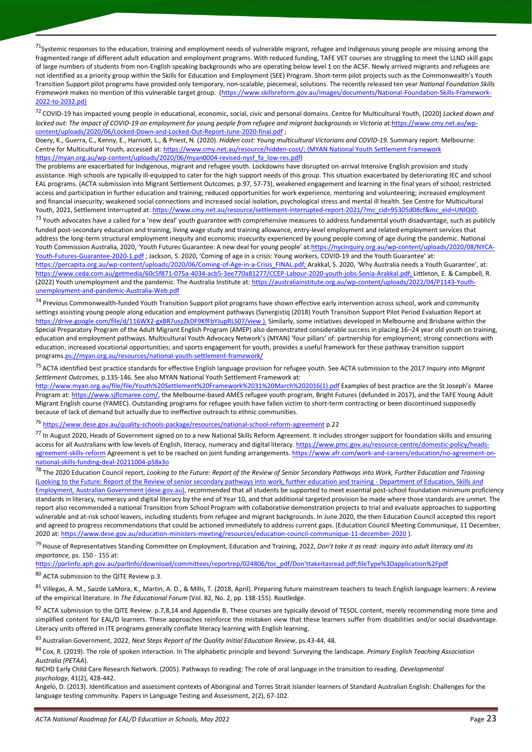$^{71}$ Systemic responses to the education, training and employment needs of vulnerable migrant, refugee and Indigenous young people are missing among the fragmented range of different adult education and employment programs. With reduced funding, TAFE VET courses are struggling to meet the LLND skill gaps of large numbers of students from non-English speaking backgrounds who are operating below level 1 on the ACSF. Newly arrived migrants and refugees are not identified as a priority group within the Skills for Education and Employment (SEE) Program. Short-term pilot projects such as the Commonwealth's Youth Transition Support pilot programs have provided only temporary, non-scalable, piecemeal, solutions. The recently released ten year *National Foundation Skills Framework* makes no mention of this vulnerable target group. [\(https://www.skillsreform.gov.au/images/documents/National-Foundation-Skills-Framework-](https://www.skillsreform.gov.au/images/documents/National-Foundation-Skills-Framework-2022-to-2032.pd))[2022-to-2032.pd\)](https://www.skillsreform.gov.au/images/documents/National-Foundation-Skills-Framework-2022-to-2032.pd))

<sup>72</sup> COVID-19 has impacted young people in educational, economic, social, civic and personal domains. Centre for Multicultural Youth, (2020) *Locked down and*  locked out: The impact of COVID-19 on employment for young people from refugee and migrant backgrounds in Victoria a[t:https://www.cmy.net.au/wp](https://www.cmy.net.au/wp-content/uploads/2020/06/Locked-Down-and-Locked-Out-Report-June-2020-final.pdf)[content/uploads/2020/06/Locked-Down-and-Locked-Out-Report-June-2020-final.pdf](https://www.cmy.net.au/wp-content/uploads/2020/06/Locked-Down-and-Locked-Out-Report-June-2020-final.pdf) ;

Doery, K., Guerra, C., Kenny, E., Harriott, L., & Priest, N. (2020). *Hidden cost: Young multicultural Victorians and COVID-19*. Summary report. Melbourne: Centre for Multicultural Youth, accessed at[: https://www.cmy.net.au/resource/hidden-cost/;](https://www.cmy.net.au/resource/hidden-cost/) (MYAN National Youth Settlement Framework [https://myan.org.au/wp-content/uploads/2020/06/myan0004-revised-nysf\\_fa\\_low-res.pdf\)](https://myan.org.au/wp-content/uploads/2020/06/myan0004-revised-nysf_fa_low-res.pdf)

The problems are exacerbated for Indigenous, migrant and refugee youth. Lockdowns have disrupted on-arrival Intensive English provision and study assistance. High schools are typically ill-equipped to cater for the high support needs of this group. This situation exacerbated by deteriorating IEC and school EAL programs. (ACTA submission into Migrant Settlement Outcomes. p.97, 57-73), weakened engagement and learning in the final years of school; restricted access and participation in further education and training; reduced opportunities for work experience, mentoring and volunteering; increased employment and financial insecurity; weakened social connections and increased social isolation, psychological stress and mental ill health. See Centre for Multicultural Youth, 2021, Settlement Interrupted at: https://www.cmy.net.au/resource/settlement-interrupted-report-2021/?mc\_cid=95305d08cf&mc\_eid=UNIQID

<sup>73</sup> Youth advocates have a called for a 'new deal' youth guarantee with comprehensive measures to address fundamental youth disadvantage, such as publicly funded post-secondary education and training, living wage study and training allowance, entry-level employment and related employment services that address the long-term structural employment inequity and economic insecurity experienced by young people coming of age during the pandemic. National Youth Commission Australia, 2020, 'Youth Futures Guarantee: A new deal for young people' at:[https://nycinquiry.org.au/wp-content/uploads/2020/08/NYCA-](https://nycinquiry.org.au/wp-content/uploads/2020/08/NYCA-Youth-Futures-Guarantee-2020-1.pdf)[Youth-Futures-Guarantee-2020-1.pdf](https://nycinquiry.org.au/wp-content/uploads/2020/08/NYCA-Youth-Futures-Guarantee-2020-1.pdf); Jackson, S. 2020, 'Coming of age in a crisis: Young workers, COVID-19 and the Youth Guarantee' at: [https://percapita.org.au/wp-content/uploads/2020/06/Coming-of-Age-in-a-Crisis\\_FINAL.pdf;](https://percapita.org.au/wp-content/uploads/2020/06/Coming-of-Age-in-a-Crisis_FINAL.pdf) Arakkal, S. 2020, 'Why Australia needs a Youth Guarantee', at: [https://www.ceda.com.au/getmedia/60c5f871-075a-4034-acb5-3ee770a81277/CCEP-Labour-2020-youth-jobs-Sonia-Arakkal.pdf;](https://www.ceda.com.au/getmedia/60c5f871-075a-4034-acb5-3ee770a81277/CCEP-Labour-2020-youth-jobs-Sonia-Arakkal.pdf) Littleton, E. & Campbell, R. (2022) Youth unemployment and the pandemic. The Australia Institute at[: https://australiainstitute.org.au/wp-content/uploads/2022/04/P1143-Youth-](https://australiainstitute.org.au/wp-content/uploads/2022/04/P1143-Youth-unemployment-and-pandemic-Australia-Web.pdf)

[unemployment-and-pandemic-Australia-Web.pdf](https://australiainstitute.org.au/wp-content/uploads/2022/04/P1143-Youth-unemployment-and-pandemic-Australia-Web.pdf)

<sup>74</sup> Previous Commonwealth-funded Youth Transition Support pilot programs have shown effective early intervention across school, work and community settings assisting young people along education and employment pathways (Synergistiq (2018) Youth Transition Support Pilot Period Evaluation Report at <https://drive.google.com/file/d/116WX2-gxBR7uszZkDF9KfFbYJupRLS07/view> ). Similarly, some initiatives developed in Melbourne and Brisbane within the Special Preparatory Program of the Adult Migrant English Program (AMEP) also demonstrated considerable success in placing 16–24 year old youth on training, education and employment pathways. Multicultural Youth Advocacy Network's (MYAN) 'four pillars' of: partnership for employment; strong connections with education; increased vocational opportunities; and sports engagement for youth, provides a useful framework for these pathway transition support programs[.ps://myan.org.au/resources/national-youth-settlement-framework/](https://myan.org.au/resources/national-youth-settlement-framework/)

<sup>75</sup> ACTA identified best practice standards for effective English language provision for refugee youth. See ACTA submission to the 2017 *Inquiry into Migrant Settlement Outcomes,* p.135-146. See also MYAN National Youth Settlement Framework at:

[http://www.myan.org.au/file/file/Youth%20Settlement%20Framework%2031%20March%202016\(1\).pdf](http://www.myan.org.au/file/file/Youth%20Settlement%20Framework%2031%20March%202016(1).pdf) Examples of best practice are the St Joseph's Maree Program at[: https://www.sjflcmaree.com/,](https://www.sjflcmaree.com/) the Melbourne-based AMES refugee youth program, Bright Futures (defunded in 2017), and the TAFE Young Adult Migrant English course (YAMEC). Outstanding programs for refugee youth have fallen victim to short-term contracting or been discontinued supposedly because of lack of demand but actually due to ineffective outreach to ethnic communities.

<sup>76</sup> <https://www.dese.gov.au/quality-schools-package/resources/national-school-reform-agreement> p.22

77 In August 2020, Heads of Government signed on to a new National Skills Reform Agreement. It includes stronger support for foundation skills and ensuring access for all Australians with low levels of English, literacy, numeracy and digital literacy[. https://www.pmc.gov.au/resource-centre/domestic-policy/heads](https://www.pmc.gov.au/resource-centre/domestic-policy/heads-agreement-skills-reform)[agreement-skills-reform](https://www.pmc.gov.au/resource-centre/domestic-policy/heads-agreement-skills-reform) Agreement is yet to be reached on joint funding arrangements[. https://www.afr.com/work-and-careers/education/no-agreement-on](https://www.afr.com/work-and-careers/education/no-agreement-on-national-skills-funding-deal-20211004-p58x3o)[national-skills-funding-deal-20211004-p58x3o](https://www.afr.com/work-and-careers/education/no-agreement-on-national-skills-funding-deal-20211004-p58x3o)

<sup>78</sup> The 2020 Education Council report, *Looking to the Future: Report of the Review of Senior Secondary Pathways into Work, Further Education and Training* [\(Looking to the Future: Report of the Review of senior secondary pathways into work, further education and training -](https://www.dese.gov.au/quality-schools-package/resources/looking-future-report-review-senior-secondary-pathways-work-further-education-and-training) Department of Education, Skills and [Employment, Australian Government \(dese.gov.au\),](https://www.dese.gov.au/quality-schools-package/resources/looking-future-report-review-senior-secondary-pathways-work-further-education-and-training) recommended that all students be supported to meet essential post-school foundation minimum proficiency standards in literacy, numeracy and digital literacy by the end of Year 10, and that additional targeted provision be made where those standards are unmet. The report also recommended a national Transition from School Program with collaborative demonstration projects to trial and evaluate approaches to supporting vulnerable and at-risk school leavers, including students from refugee and migrant backgrounds. In June 2020, the then Education Council accepted this report and agreed to progress recommendations that could be actioned immediately to address current gaps. (Education Council Meeting Communique, 11 December, 2020 at: <https://www.dese.gov.au/education-ministers-meeting/resources/education-council-communique-11-december-2020> ).

<sup>79</sup> House of Representatives Standing Committee on Employment, Education and Training, 2022, *Don't take it as read: inquiry into adult literacy and its importance,* ps. 150 - 155 at:

[https://parlinfo.aph.gov.au/parlInfo/download/committees/reportrep/024806/toc\\_pdf/Don'ttakeitasread.pdf;fileType%3Dapplication%2Fpdf](https://parlinfo.aph.gov.au/parlInfo/download/committees/reportrep/024806/toc_pdf/Don)

<sup>80</sup> ACTA submission to the QITE Review p.3.

<sup>81</sup> Villegas, A. M., Saizde LaMora, K., Martin, A. D., & Mills, T. (2018, April). Preparing future mainstream teachers to teach English language learners: A review of the empirical literature. In *The Educational Forum* (Vol. 82, No. 2, pp. 138-155). Routledge.

82 ACTA submission to the QITE Review. p.7,8,14 and Appendix B. These courses are typically devoid of TESOL content, merely recommending more time and simplified content for EAL/D learners. These approaches reinforce the mistaken view that these learners suffer from disabilities and/or social disadvantage. Literacy units offered in ITE programs generally conflate literacy learning with English learning.

<sup>83</sup> Australian Government, 2022, *Next Steps Report of the Quality Initial Education Review*, ps.43-44, 48.

<sup>84</sup> Cox, R. (2019). The role of spoken interaction. In The alphabetic principle and beyond: Surveying the landscape. *Primary English Teaching Association Australia (PETAA*).

NICHD Early Child Care Research Network. (2005). Pathways to reading: The role of oral language in the transition to reading. *Developmental psychology*, 41(2), 428-442.

Angelo, D. (2013). Identification and assessment contexts of Aboriginal and Torres Strait Islander learners of Standard Australian English: Challenges for the language testing community. Papers in Language Testing and Assessment, 2(2), 67-102.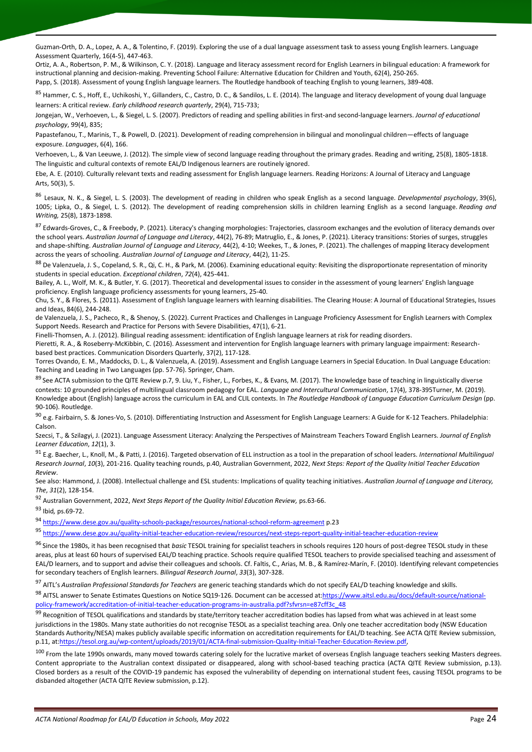Guzman-Orth, D. A., Lopez, A. A., & Tolentino, F. (2019). Exploring the use of a dual language assessment task to assess young English learners. Language Assessment Quarterly, 16(4-5), 447-463.

Ortiz, A. A., Robertson, P. M., & Wilkinson, C. Y. (2018). Language and literacy assessment record for English Learners in bilingual education: A framework for instructional planning and decision-making. Preventing School Failure: Alternative Education for Children and Youth, 62(4), 250-265. Papp, S. (2018). Assessment of young English language learners. The Routledge handbook of teaching English to young learners, 389-408.

<sup>85</sup> Hammer, C. S., Hoff, E., Uchikoshi, Y., Gillanders, C., Castro, D. C., & Sandilos, L. E. (2014). The language and literacy development of young dual language learners: A critical review. *Early childhood research quarterly*, 29(4), 715-733;

Jongejan, W., Verhoeven, L., & Siegel, L. S. (2007). Predictors of reading and spelling abilities in first-and second-language learners. *Journal of educational psychology*, 99(4), 835;

Papastefanou, T., Marinis, T., & Powell, D. (2021). Development of reading comprehension in bilingual and monolingual children—effects of language exposure. *Languages*, 6(4), 166.

Verhoeven, L., & Van Leeuwe, J. (2012). The simple view of second language reading throughout the primary grades. Reading and writing, 25(8), 1805-1818. The linguistic and cultural contexts of remote EAL/D Indigenous learners are routinely ignored.

Ebe, A. E. (2010). Culturally relevant texts and reading assessment for English language learners. Reading Horizons: A Journal of Literacy and Language Arts, 50(3), 5.

<sup>86</sup> Lesaux, N. K., & Siegel, L. S. (2003). The development of reading in children who speak English as a second language. *Developmental psychology*, 39(6), 1005; Lipka, O., & Siegel, L. S. (2012). The development of reading comprehension skills in children learning English as a second language. *Reading and Writing,* 25(8), 1873-1898.

87 Edwards-Groves, C., & Freebody, P. (2021). Literacy's changing morphologies: Trajectories, classroom exchanges and the evolution of literacy demands over the school years. *Australian Journal of Language and Literacy*, 44(2), 76-89; Matruglio, E., & Jones, P. (2021). Literacy transitions: Stories of surges, struggles and shape-shifting. *Australian Journal of Language and Literacy*, 44(2), 4-10; Weekes, T., & Jones, P. (2021). The challenges of mapping literacy development across the years of schooling. *Australian Journal of Language and Literacy*, 44(2), 11-25.

88 De Valenzuela, J. S., Copeland, S. R., Qi, C. H., & Park, M. (2006). Examining educational equity: Revisiting the disproportionate representation of minority students in special education. *Exceptional children*, *72*(4), 425-441.

Bailey, A. L., Wolf, M. K., & Butler, Y. G. (2017). Theoretical and developmental issues to consider in the assessment of young learners' English language proficiency. English language proficiency assessments for young learners, 25-40.

Chu, S. Y., & Flores, S. (2011). Assessment of English language learners with learning disabilities. The Clearing House: A Journal of Educational Strategies, Issues and Ideas, 84(6), 244-248.

de Valenzuela, J. S., Pacheco, R., & Shenoy, S. (2022). Current Practices and Challenges in Language Proficiency Assessment for English Learners with Complex Support Needs. Research and Practice for Persons with Severe Disabilities, 47(1), 6-21.

Finelli-Thomsen, A. J. (2012). Bilingual reading assessment: identification of English language learners at risk for reading disorders. Pieretti, R. A., & Roseberry-McKibbin, C. (2016). Assessment and intervention for English language learners with primary language impairment: Researchbased best practices. Communication Disorders Quarterly, 37(2), 117-128.

Torres Ovando, E. M., Maddocks, D. L., & Valenzuela, A. (2019). Assessment and English Language Learners in Special Education. In Dual Language Education: Teaching and Leading in Two Languages (pp. 57-76). Springer, Cham.

<sup>89</sup> See ACTA submission to the QITE Review p.7, 9. Liu, Y., Fisher, L., Forbes, K., & Evans, M. (2017). The knowledge base of teaching in linguistically diverse contexts: 10 grounded principles of multilingual classroom pedagogy for EAL. *Language and Intercultural Communication*, 17(4), 378-395Turner, M. (2019). Knowledge about (English) language across the curriculum in EAL and CLIL contexts. In *The Routledge Handbook of Language Education Curriculum Design* (pp. 90-106). Routledge.

90 e.g. Fairbairn, S. & Jones-Vo, S. (2010). Differentiating Instruction and Assessment for English Language Learners: A Guide for K-12 Teachers. Philadelphia: Calson.

Szecsi, T., & Szilagyi, J. (2021). Language Assessment Literacy: Analyzing the Perspectives of Mainstream Teachers Toward English Learners. *Journal of English Learner Education*, *12*(1), 3.

<sup>91</sup> E.g. Baecher, L., Knoll, M., & Patti, J. (2016). Targeted observation of ELL instruction as a tool in the preparation of school leaders. *International Multilingual Research Journal*, *10*(3), 201-216. Quality teaching rounds, p.40, Australian Government, 2022, *Next Steps: Report of the Quality Initial Teacher Education Review*.

See also: Hammond, J. (2008). Intellectual challenge and ESL students: Implications of quality teaching initiatives. *Australian Journal of Language and Literacy, The*, *31*(2), 128-154.

<sup>92</sup> Australian Government, 2022, *Next Steps Report of the Quality Initial Education Review,* ps.63-66.

<sup>93</sup> Ibid*,* ps.69-72.

<sup>94</sup> <https://www.dese.gov.au/quality-schools-package/resources/national-school-reform-agreement> p.23

<sup>95</sup> <https://www.dese.gov.au/quality-initial-teacher-education-review/resources/next-steps-report-quality-initial-teacher-education-review>

<sup>96</sup> Since the 1980s, it has been recognised that *basic* TESOL training for specialist teachers in schools requires 120 hours of post-degree TESOL study in these areas, plus at least 60 hours of supervised EAL/D teaching practice. Schools require qualified TESOL teachers to provide specialised teaching and assessment of EAL/D learners, and to support and advise their colleagues and schools. Cf. Faltis, C., Arias, M. B., & Ramírez-Marín, F. (2010). Identifying relevant competencies for secondary teachers of English learners. *Bilingual Research Journal*, *33*(3), 307-328.

<sup>97</sup> AITL's *Australian Professional Standards for Teachers* are generic teaching standards which do not specify EAL/D teaching knowledge and skills.

98 AITSL answer to Senate Estimates Questions on Notice SQ19-126. Document can be accessed at: https://www.aitsl.edu.au/docs/default-source/national[policy-framework/accreditation-of-initial-teacher-education-programs-in-australia.pdf?sfvrsn=e87cff3c\\_48](https://www.aitsl.edu.au/docs/default-source/national-policy-framework/accreditation-of-initial-teacher-education-programs-in-australia.pdf?sfvrsn=e87cff3c_48)

99 Recognition of TESOL qualifications and standards by state/territory teacher accreditation bodies has lapsed from what was achieved in at least some jurisdictions in the 1980s. Many state authorities do not recognise TESOL as a specialist teaching area. Only one teacher accreditation body (NSW Education Standards Authority/NESA) makes publicly available specific information on accreditation requirements for EAL/D teaching. See ACTA QITE Review submission, p.11, a[t:https://tesol.org.au/wp-content/uploads/2019/01/ACTA-final-submission-Quality-Initial-Teacher-Education-Review.pdf,](https://tesol.org.au/wp-content/uploads/2019/01/ACTA-final-submission-Quality-Initial-Teacher-Education-Review.pdf)

<sup>100</sup> From the late 1990s onwards, many moved towards catering solely for the lucrative market of overseas English language teachers seeking Masters degrees. Content appropriate to the Australian context dissipated or disappeared, along with school-based teaching practica (ACTA QITE Review submission, p.13). Closed borders as a result of the COVID-19 pandemic has exposed the vulnerability of depending on international student fees, causing TESOL programs to be disbanded altogether (ACTA QITE Review submission, p.12).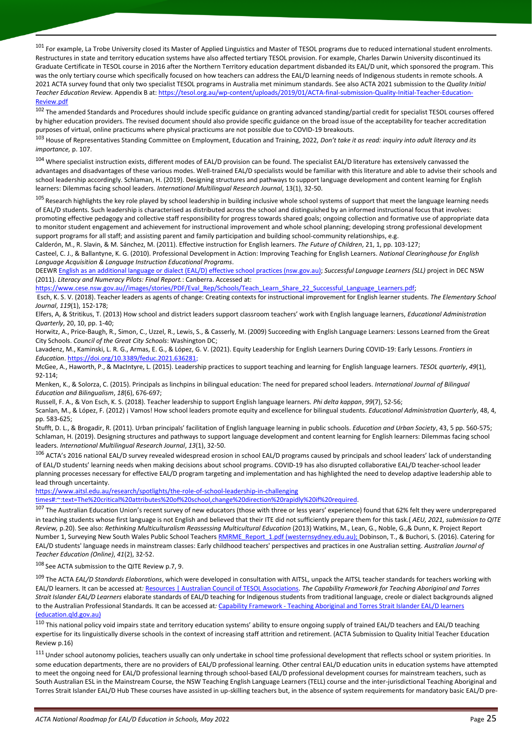<sup>101</sup> For example, La Trobe University closed its Master of Applied Linguistics and Master of TESOL programs due to reduced international student enrolments. Restructures in state and territory education systems have also affected tertiary TESOL provision. For example, Charles Darwin University discontinued its Graduate Certificate in TESOL course in 2016 after the Northern Territory education department disbanded its EAL/D unit, which sponsored the program. This was the only tertiary course which specifically focused on how teachers can address the EAL/D learning needs of Indigenous students in remote schools. A 2021 ACTA survey found that only two specialist TESOL programs in Australia met minimum standards. See also ACTA 2021 submission to the *Quality Initial Teacher Education Review.* Appendix B at[: https://tesol.org.au/wp-content/uploads/2019/01/ACTA-final-submission-Quality-Initial-Teacher-Education-](https://tesol.org.au/wp-content/uploads/2019/01/ACTA-final-submission-Quality-Initial-Teacher-Education-Review.pdf)[Review.pdf](https://tesol.org.au/wp-content/uploads/2019/01/ACTA-final-submission-Quality-Initial-Teacher-Education-Review.pdf)

<sup>102</sup> The amended Standards and Procedures should include specific guidance on granting advanced standing/partial credit for specialist TESOL courses offered by higher education providers. The revised document should also provide specific guidance on the broad issue of the acceptability for teacher accreditation purposes of virtual, online practicums where physical practicums are not possible due to COVID-19 breakouts.

<sup>103</sup> House of Representatives Standing Committee on Employment, Education and Training, 2022, *Don't take it as read: inquiry into adult literacy and its importance,* p. 107.

<sup>104</sup> Where specialist instruction exists, different modes of EAL/D provision can be found. The specialist EAL/D literature has extensively canvassed the advantages and disadvantages of these various modes. Well-trained EAL/D specialists would be familiar with this literature and able to advise their schools and school leadership accordingly. Schlaman, H. (2019). Designing structures and pathways to support language development and content learning for English learners: Dilemmas facing school leaders. *International Multilingual Research Journal*, 13(1), 32-50.

<sup>105</sup> Research highlights the key role played by school leadership in building inclusive whole school systems of support that meet the language learning needs of EAL/D students. Such leadership is characterised as distributed across the school and distinguished by an informed instructional focus that involves: promoting effective pedagogy and collective staff responsibility for progress towards shared goals; ongoing collection and formative use of appropriate data to monitor student engagement and achievement for instructional improvement and whole school planning; developing strong professional development support programs for all staff; and assisting parent and family participation and building school-community relationships, e.g.

Calderón, M., R. Slavin, & M. Sánchez, M. (2011). Effective instruction for English learners. *The Future of Children*, 21, 1, pp. 103-127; Casteel, C. J., & Ballantyne, K. G. (2010). Professional Development in Action: Improving Teaching for English Learners. *National Clearinghouse for English* 

*Language Acquisition & Language Instruction Educational Programs*.

DEEWR [English as an additional language or dialect \(EAL/D\) effective school practices \(nsw.gov.au\);](https://www.education.nsw.gov.au/about-us/educational-data/cese/publications/research-reports/eald-effective-school-practices) *Successful Language Learners (SLL)* project in DEC NSW (2011). *Literacy and Numeracy Pilots: Final Report.*: Canberra. Accessed at:

[https://www.cese.nsw.gov.au//images/stories/PDF/Eval\\_Rep/Schools/Teach\\_Learn\\_Share\\_22\\_Successful\\_Language\\_Learners.pdf;](https://www.cese.nsw.gov.au/images/stories/PDF/Eval_Rep/Schools/Teach_Learn_Share_22_Successful_Language_Learners.pdf)

Esch, K. S. V. (2018). Teacher leaders as agents of change: Creating contexts for instructional improvement for English learner students. *The Elementary School Journal*, *119*(1), 152-178;

Elfers, A, & Stritikus, T. (2013) How school and district leaders support classroom teachers' work with English language learners, *Educational Administration Quarterly*, 20, 10, pp. 1-40;

Horwitz, A., Price-Baugh, R., Simon, C., Uzzel, R., Lewis, S., & Casserly, M. (2009) Succeeding with English Language Learners: Lessons Learned from the Great City Schools. *Council of the Great City Schools*: Washington DC;

Lavadenz, M., Kaminski, L. R. G., Armas, E. G., & López, G. V. (2021). Equity Leadership for English Learners During COVID-19: Early Lessons. *Frontiers in Education*. [https://doi.org/10.3389/feduc.2021.636281;](https://doi.org/10.3389/feduc.2021.636281)

McGee, A., Haworth, P., & MacIntyre, L. (2015). Leadership practices to support teaching and learning for English language learners. *TESOL quarterly*, *49*(1), 92-114;

Menken, K., & Solorza, C. (2015). Principals as linchpins in bilingual education: The need for prepared school leaders. *International Journal of Bilingual Education and Bilingualism*, *18*(6), 676-697;

Russell, F. A., & Von Esch, K. S. (2018). Teacher leadership to support English language learners. *Phi delta kappan*, *99*(7), 52-56;

Scanlan, M., & López, F. (2012) ¡ Vamos! How school leaders promote equity and excellence for bilingual students. *Educational Administration Quarterly*, 48, 4, pp. 583-625;

Stufft, D. L., & Brogadir, R. (2011). Urban principals' facilitation of English language learning in public schools. *Education and Urban Society*, 43, 5 pp. 560-575; Schlaman, H. (2019). Designing structures and pathways to support language development and content learning for English learners: Dilemmas facing school leaders. *International Multilingual Research Journal*, *13*(1), 32-50.

<sup>106</sup> ACTA's 2016 national EAL/D survey revealed widespread erosion in school EAL/D programs caused by principals and school leaders' lack of understanding of EAL/D students' learning needs when making decisions about school programs. COVID-19 has also disrupted collaborative EAL/D teacher-school leader planning processes necessary for effective EAL/D program targeting and implementation and has highlighted the need to develop adaptive leadership able to lead through uncertainty.

[https://www.aitsl.edu.au/research/spotlights/the-role-of-school-leadership-in-challenging](https://www.aitsl.edu.au/research/spotlights/the-role-of-school-leadership-in-challenging%20times#:~:text=The%20critical%20attributes%20of%20school,change%20direction%20rapidly%20if%20required) 

[times#:~:text=The%20critical%20attributes%20of%20school,change%20direction%20rapidly%20if%20required.](https://www.aitsl.edu.au/research/spotlights/the-role-of-school-leadership-in-challenging%20times#:~:text=The%20critical%20attributes%20of%20school,change%20direction%20rapidly%20if%20required)

<sup>107</sup> The Australian Education Union's recent survey of new educators (those with three or less years' experience) found that 62% felt they were underprepared in teaching students whose first language is not English and believed that their ITE did not sufficiently prepare them for this task.( *AEU, 2021, submission to QITE Review,* p.20). See also: *Rethinking Multiculturalism Reassessing Multicultural Education* (2013) Watkins, M., Lean, G., Noble, G.,& Dunn, K. Project Report Number 1, Surveying New South Wales Public School Teacher[s RMRME\\_Report\\_1.pdf \(westernsydney.edu.au\);](https://www.westernsydney.edu.au/__data/assets/pdf_file/0016/542212/RMRME_Report_1.pdf) Dobinson, T., & Buchori, S. (2016). Catering for EAL/D students' language needs in mainstream classes: Early childhood teachers' perspectives and practices in one Australian setting. *Australian Journal of Teacher Education (Online)*, *41*(2), 32-52.

<sup>108</sup> See ACTA submission to the QITE Review p.7, 9.

<sup>109</sup> The ACTA *EAL/D Standards Elaborations*, which were developed in consultation with AITSL, unpack the AITSL teacher standards for teachers working with EAL/D learners. It can be accessed at*:* [Resources | Australian Council of TESOL Associations.](https://tesol.org.au/resources/#resources-0) *The Capability Framework for Teaching Aboriginal and Torres Strait Islander EAL/D Learners* elaborate standards of EAL/D teaching for Indigenous students from traditional language, creole or dialect backgrounds aligned to the Australian Professional Standards. It can be accessed at*:* Capability Framework - [Teaching Aboriginal and Torres Strait Islander EAL/D learners](https://education.qld.gov.au/student/Documents/capability-framework-teaching-aboriginal-torres-strait-islander-eald-learners.pdf)  [\(education.qld.gov.au\)](https://education.qld.gov.au/student/Documents/capability-framework-teaching-aboriginal-torres-strait-islander-eald-learners.pdf)

<sup>110</sup> This national policy void impairs state and territory education systems' ability to ensure ongoing supply of trained EAL/D teachers and EAL/D teaching expertise for its linguistically diverse schools in the context of increasing staff attrition and retirement. (ACTA Submission to Quality Initial Teacher Education Review p.16)

<sup>111</sup> Under school autonomy policies, teachers usually can only undertake in school time professional development that reflects school or system priorities. In some education departments, there are no providers of EAL/D professional learning. Other central EAL/D education units in education systems have attempted to meet the ongoing need for EAL/D professional learning through school-based EAL/D professional development courses for mainstream teachers, such as South Australian ESL in the Mainstream Course, the NSW Teaching English Language Learners (TELL) course and the inter-jurisdictional Teaching Aboriginal and Torres Strait Islander EAL/D Hub These courses have assisted in up-skilling teachers but, in the absence of system requirements for mandatory basic EAL/D pre-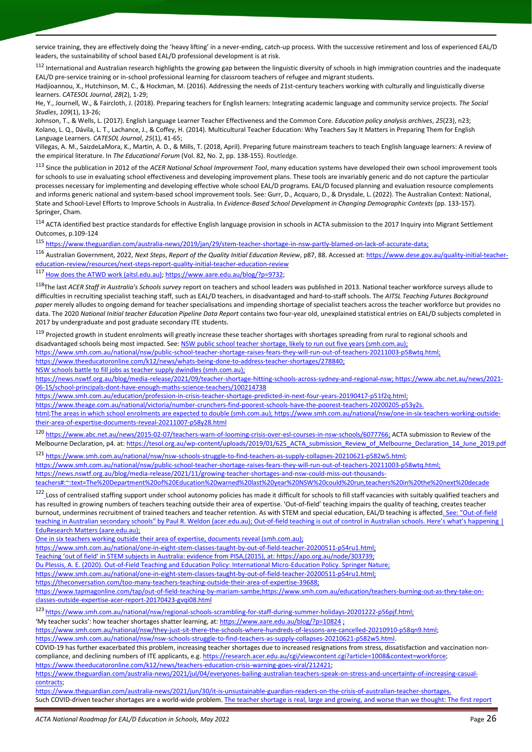service training, they are effectively doing the 'heavy lifting' in a never-ending, catch-up process. With the successive retirement and loss of experienced EAL/D leaders, the sustainability of school based EAL/D professional development is at risk.

<sup>112</sup> International and Australian research highlights the growing gap between the linguistic diversity of schools in high immigration countries and the inadequate EAL/D pre-service training or in-school professional learning for classroom teachers of refugee and migrant students.

Hadjioannou, X., Hutchinson, M. C., & Hockman, M. (2016). Addressing the needs of 21st-century teachers working with culturally and linguistically diverse learners. *CATESOL Journal*, *28*(2), 1-29;

He, Y., Journell, W., & Faircloth, J. (2018). Preparing teachers for English learners: Integrating academic language and community service projects. *The Social Studies*, *109*(1), 13-26;

Johnson, T., & Wells, L. (2017). English Language Learner Teacher Effectiveness and the Common Core. *Education policy analysis archives*, *25*(23), n23; Kolano, L. Q., Dávila, L. T., Lachance, J., & Coffey, H. (2014). Multicultural Teacher Education: Why Teachers Say It Matters in Preparing Them for English Language Learners. *CATESOL Journal*, *25*(1), 41-65;

Villegas, A. M., SaizdeLaMora, K., Martin, A. D., & Mills, T. (2018, April). Preparing future mainstream teachers to teach English language learners: A review of the empirical literature. In *The Educational Forum* (Vol. 82, No. 2, pp. 138-155). Routledge.

<sup>113</sup> Since the publication in 2012 of the *ACER National School Improvement Tool*, many education systems have developed their own school improvement tools for schools to use in evaluating school effectiveness and developing improvement plans. These tools are invariably generic and do not capture the particular processes necessary for implementing and developing effective whole school EAL/D programs. EAL/D focused planning and evaluation resource complements and informs generic national and system-based school improvement tools. See: Gurr, D., Acquaro, D., & Drysdale, L. (2022). The Australian Context: National, State and School-Level Efforts to Improve Schools in Australia. In *Evidence-Based School Development in Changing Demographic Contexts* (pp. 133-157). Springer, Cham.

<sup>114</sup> ACTA identified best practice standards for effective English language provision in schools in ACTA submission to the 2017 Inquiry into Migrant Settlement Outcomes, p.109-124

<sup>115</sup> [https://www.theguardian.com/australia-news/2019/jan/29/stem-teacher-shortage-in-nsw-partly-blamed-on-lack-of-accurate-data;](https://www.theguardian.com/australia-news/2019/jan/29/stem-teacher-shortage-in-nsw-partly-blamed-on-lack-of-accurate-data)

<sup>116</sup> Australian Government, 2022, *Next Steps*, *Report of the Quality Initial Education Review*, p87, 88. Accessed at: [https://www.dese.gov.au/quality-initial-teacher](https://www.dese.gov.au/quality-initial-teacher-education-review/resources/next-steps-report-quality-initial-teacher-education-review)[education-review/resources/next-steps-report-quality-initial-teacher-education-review](https://www.dese.gov.au/quality-initial-teacher-education-review/resources/next-steps-report-quality-initial-teacher-education-review)

<sup>117</sup> [How does the ATWD work \(aitsl.edu.au\);](https://www.aitsl.edu.au/research/australian-teacher-workforce-data/how-does-it-work) [https://www.aare.edu.au/blog/?p=9732;](https://www.aare.edu.au/blog/?p=9732)

<sup>118</sup>The last *ACER Staff in Australia's Schools survey* report on teachers and school leaders was published in 2013. National teacher workforce surveys allude to difficulties in recruiting specialist teaching staff, such as EAL/D teachers, in disadvantaged and hard-to-staff schools. The *AITSL Teaching Futures Background paper* merely alludes to ongoing demand for teacher specialisations and impending shortage of specialist teachers across the teacher workforce but provides no data. The 2020 *National Initial teacher Education Pipeline Data Report* contains two four-year old, unexplained statistical entries on EAL/D subjects completed in 2017 by undergraduate and post graduate secondary ITE students.

<sup>119</sup> Projected growth in student enrolments will greatly increase these teacher shortages with shortages spreading from rural to regional schools and disadvantaged schools being most impacted. See: NSW public school teacher shortage, likely to run out five years (smh.com.au);

[https://www.smh.com.au/national/nsw/public-school-teacher-shortage-raises-fears-they-will-run-out-of-teachers-20211003-p58wtq.html;](https://www.smh.com.au/national/nsw/public-school-teacher-shortage-raises-fears-they-will-run-out-of-teachers-20211003-p58wtq.html)

[https://www.theeducatoronline.com/k12/news/whats-being-done-to-address-teacher-shortages/278840;](https://www.theeducatoronline.com/k12/news/whats-being-done-to-address-teacher-shortages/278840) 

[NSW schools battle to fill jobs as teacher supply dwindles \(smh.com.au\);](https://www.smh.com.au/national/nsw/nsw-schools-struggle-to-find-teachers-as-supply-collapses-20210621-p582w5.html)

[https://news.nswtf.org.au/blog/media-release/2021/09/teacher-shortage-hitting-schools-across-sydney-and-regional-nsw;](https://news.nswtf.org.au/blog/media-release/2021/09/teacher-shortage-hitting-schools-across-sydney-and-regional-nsw) [https://www.abc.net.au/news/2021-](https://www.abc.net.au/news/2021-06-15/school-principals-dont-have-enough-maths-science-teachers/100214738) [06-15/school-principals-dont-have-enough-maths-science-teachers/100214738](https://www.abc.net.au/news/2021-06-15/school-principals-dont-have-enough-maths-science-teachers/100214738)

[https://www.smh.com.au/education/profession-in-crisis-teacher-shortage-predicted-in-next-four-years-20190417-p51f2q.html;](https://www.smh.com.au/education/profession-in-crisis-teacher-shortage-predicted-in-next-four-years-20190417-p51f2q.html)

[https://www.theage.com.au/national/victoria/number-crunchers-find-poorest-schools-have-the-poorest-teachers-20200205-p53y2s.](https://www.theage.com.au/national/victoria/number-crunchers-find-poorest-schools-have-the-poorest-teachers-20200205-p53y2s.html)

[html;](https://www.theage.com.au/national/victoria/number-crunchers-find-poorest-schools-have-the-poorest-teachers-20200205-p53y2s.html)The areas in which school enrolments are expected to double [\(smh.com.au\);](https://www.smh.com.au/national/nsw/the-areas-in-which-school-enrolments-are-expected-to-double-20211008-p58ygv.html) https://www.smh.com.au/national/nsw/one-in-six-teachers-working-outsidetheir-area-of-expertise-documents-reveal-20211007-p58y28.html

<sup>120</sup> [https://www.abc.net.au/news/2015-02-07/teachers-warn-of-looming-crisis-over-esl-courses-in-nsw-schools/6077766;](https://www.abc.net.au/news/2015-02-07/teachers-warn-of-looming-crisis-over-esl-courses-in-nsw-schools/6077766) ACTA submission to Review of the Melbourne Declaration, p4. at[: https://tesol.org.au/wp-content/uploads/2019/01/625\\_ACTA\\_submission\\_Review\\_of\\_Melbourne\\_Declaration\\_14\\_June\\_2019.pdf](https://tesol.org.au/wp-content/uploads/2019/01/625_ACTA_submission_Review_of_Melbourne_Declaration_14_June_2019.pdf)

<sup>121</sup> [https://www.smh.com.au/national/nsw/nsw-schools-struggle-to-find-teachers-as-supply-collapses-20210621-p582w5.html;](https://www.smh.com.au/national/nsw/nsw-schools-struggle-to-find-teachers-as-supply-collapses-20210621-p582w5.html) 

[https://www.smh.com.au/national/nsw/public-school-teacher-shortage-raises-fears-they-will-run-out-of-teachers-20211003-p58wtq.html;](https://www.smh.com.au/national/nsw/public-school-teacher-shortage-raises-fears-they-will-run-out-of-teachers-20211003-p58wtq.html)

[https://news.nswtf.org.au/blog/media-release/2021/11/growing-teacher-shortages-and-nsw-could-miss-out-thousands-](https://news.nswtf.org.au/blog/media-release/2021/11/growing-teacher-shortages-and-nsw-could-miss-out-thousands-teachers#:~:text=The%20Department%20of%20Education%20warned%20last%20year%20NSW%20could%20run,teachers%20in%20the%20next%20decade)

[teachers#:~:text=The%20Department%20of%20Education%20warned%20last%20year%20NSW%20could%20run,teachers%20in%20the%20next%20decade](https://news.nswtf.org.au/blog/media-release/2021/11/growing-teacher-shortages-and-nsw-could-miss-out-thousands-teachers#:~:text=The%20Department%20of%20Education%20warned%20last%20year%20NSW%20could%20run,teachers%20in%20the%20next%20decade) 

<sup>122</sup> Loss of centralised staffing support under school autonomy policies has made it difficult for schools to fill staff vacancies with suitably qualified teachers and has resulted in growing numbers of teachers teaching outside their area of expertise. 'Out-of-field' teaching impairs the quality of teaching, creates teacher burnout, undermines recruitment of trained teachers and teacher retention. As with STEM and special education, EAL/D teaching is affected. See: "Out-of-field [teaching in Australian secondary schools" by Paul R. Weldon \(acer.edu.au\);](https://research.acer.edu.au/policyinsights/6/) Out-of-[field teaching is out of control in Australian schools. Here's what's h](https://www.aare.edu.au/blog/?p=3778)appening | [EduResearch Matters \(aare.edu.au\);](https://www.aare.edu.au/blog/?p=3778) 

[One in six teachers working outside their area of expertise, documents reveal](file:///C:/Users/Helen/AppData/Local/Microsoft/Windows/INetCache/Content.Outlook/2K12ZC99/One%20in%20six%20teachers%20working%20outside%20their%20area%20of%20expertise,%20documents%20reveal%20(smh.com.au)) (smh.com.au);

[https://www.smh.com.au/national/one-in-eight-stem-classes-taught-by-out-of-field-teacher-20200511-p54ru1.html;](https://www.smh.com.au/national/one-in-eight-stem-classes-taught-by-out-of-field-teacher-20200511-p54ru1.html) 

Teaching 'out of field' in STEM subjects in Australia: evidence from PISA,(2015), at: [https://apo.org.au/node/303739;](https://apo.org.au/node/303739)

Du Plessis, A. E. (2020). Out-of-Field Teaching and Education Policy: International Micro-Education Policy. Springer Nature;

[https://www.smh.com.au/national/one-in-eight-stem-classes-taught-by-out-of-field-teacher-20200511-p54ru1.html;](https://www.smh.com.au/national/one-in-eight-stem-classes-taught-by-out-of-field-teacher-20200511-p54ru1.html) 

[https://theconversation.com/too-many-teachers-teaching-outside-their-area-of-expertise-39688;](https://theconversation.com/too-many-teachers-teaching-outside-their-area-of-expertise-39688)

<https://www.tapmagonline.com/tap/out-of-field-teaching-by-mariam-sambe>[;https://www.smh.com.au/education/teachers-burning-out-as-they-take-on](https://www.smh.com.au/education/teachers-burning-out-as-they-take-on-classes-outside-expertise-acer-report-20170423-gvqi08.html)[classes-outside-expertise-acer-report-20170423-gvqi08.html](https://www.smh.com.au/education/teachers-burning-out-as-they-take-on-classes-outside-expertise-acer-report-20170423-gvqi08.html)

<sup>123</sup> [https://www.smh.com.au/national/nsw/regional-schools-scrambling-for-staff-during-summer-holidays-20201222-p56pjf.html;](https://www.smh.com.au/national/nsw/regional-schools-scrambling-for-staff-during-summer-holidays-20201222-p56pjf.html)

'My teacher sucks': how teacher shortages shatter learning, at: <https://www.aare.edu.au/blog/?p=10824> ;

[https://www.smh.com.au/national/nsw/they-just-sit-there-the-schools-where-hundreds-of-lessons-are-cancelled-20210910-p58qn9.html;](https://www.smh.com.au/national/nsw/they-just-sit-there-the-schools-where-hundreds-of-lessons-are-cancelled-20210910-p58qn9.html)

[https://www.smh.com.au/national/nsw/nsw-schools-struggle-to-find-teachers-as-supply-collapses-20210621-p582w5.html.](https://www.smh.com.au/national/nsw/nsw-schools-struggle-to-find-teachers-as-supply-collapses-20210621-p582w5.html)

COVID-19 has further exacerbated this problem, increasing teacher shortages due to increased resignations from stress, dissatisfaction and vaccination noncompliance, and declining numbers of ITE applicants, e.g. [https://research.acer.edu.au/cgi/viewcontent.cgi?article=1008&context=workforce;](https://research.acer.edu.au/cgi/viewcontent.cgi?article=1008&context=workforce)

[https://www.theeducatoronline.com/k12/news/teachers-education-crisis-warning-goes-viral/212421;](https://www.theeducatoronline.com/k12/news/teachers-education-crisis-warning-goes-viral/212421)

[https://www.theguardian.com/australia-news/2021/jul/04/everyones-bailing-australian-teachers-speak-on-stress-and-uncertainty-of-increasing-casual](https://www.theguardian.com/australia-news/2021/jul/04/everyones-bailing-australian-teachers-speak-on-stress-and-uncertainty-of-increasing-casual-contracts)[contracts;](https://www.theguardian.com/australia-news/2021/jul/04/everyones-bailing-australian-teachers-speak-on-stress-and-uncertainty-of-increasing-casual-contracts)

[https://www.theguardian.com/australia-news/2021/jun/30/it-is-unsustainable-guardian-readers-on-the-crisis-of-australian-teacher-shortages.](https://www.theguardian.com/australia-news/2021/jun/30/it-is-unsustainable-guardian-readers-on-the-crisis-of-australian-teacher-shortages) Such COVID-driven teacher shortages are a world-wide problem. The teacher shortage is real, large and growing, and worse than we thought: The first report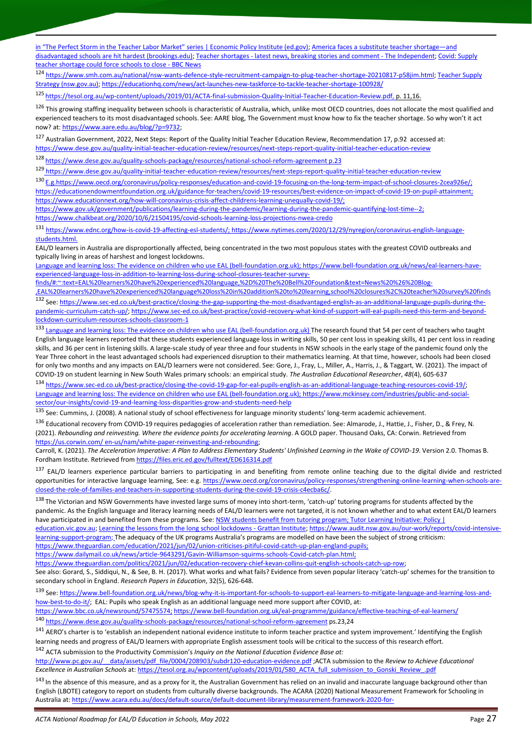[in "The Perfect Storm in the Teacher Labor Market" series | Economic Policy Institute \(ed.gov\)](https://files.eric.ed.gov/fulltext/ED598211.pdf)[; America faces a substitute teacher shortage](https://www.brookings.edu/blog/brown-center-chalkboard/2020/10/21/america-faces-a-substitute-teacher-shortage-and-disadvantaged-schools-are-hit-hardest/)—and [disadvantaged schools are hit hardest \(brookings.edu\);](https://www.brookings.edu/blog/brown-center-chalkboard/2020/10/21/america-faces-a-substitute-teacher-shortage-and-disadvantaged-schools-are-hit-hardest/) Teacher shortages - [latest news, breaking stories and comment -](https://www.independent.co.uk/topic/teacher-shortages) The Independent[; Covid: Supply](https://www.bbc.com/news/uk-wales-58978244)  [teacher shortage could force schools to close -](https://www.bbc.com/news/uk-wales-58978244) BBC News

<sup>124</sup> [https://www.smh.com.au/national/nsw-wants-defence-style-recruitment-campaign-to-plug-teacher-shortage-20210817-p58jim.html;](https://www.smh.com.au/national/nsw-wants-defence-style-recruitment-campaign-to-plug-teacher-shortage-20210817-p58jim.html) [Teacher Supply](https://education.nsw.gov.au/about-us/strategies-and-reports/teacher-supply-strategy/teacher-supply-strategy-online#:~:text=The%20NSW%20Teacher%20Supply%20Strategy%20is%20an%20evidence-based,The%20strategy%20is%20based%20around%20three%20key%20priorities.)  [Strategy \(nsw.gov.au\);](https://education.nsw.gov.au/about-us/strategies-and-reports/teacher-supply-strategy/teacher-supply-strategy-online#:~:text=The%20NSW%20Teacher%20Supply%20Strategy%20is%20an%20evidence-based,The%20strategy%20is%20based%20around%20three%20key%20priorities.)<https://educationhq.com/news/act-launches-new-taskforce-to-tackle-teacher-shortage-100928/>

<sup>125</sup> [https://tesol.org.au/wp-content/uploads/2019/01/ACTA-final-submission-Quality-Initial-Teacher-Education-Review.pdf,](https://tesol.org.au/wp-content/uploads/2019/01/ACTA-final-submission-Quality-Initial-Teacher-Education-Review.pdf) p. 11,16.

<sup>126</sup> This growing staffing inequality between schools is characteristic of Australia, which, unlike most OECD countries, does not allocate the most qualified and experienced teachers to its most disadvantaged schools. See: AARE blog, The Government must know how to fix the teacher shortage. So why won't it act now? at[: https://www.aare.edu.au/blog/?p=9732;](https://www.aare.edu.au/blog/?p=9732)

<sup>127</sup> Australian Government, 2022, Next Steps: Report of the Quality Initial Teacher Education Review, Recommendation 17, p.92 accessed at: <https://www.dese.gov.au/quality-initial-teacher-education-review/resources/next-steps-report-quality-initial-teacher-education-review>

<sup>128</sup> <https://www.dese.gov.au/quality-schools-package/resources/national-school-reform-agreement> p.23

<sup>129</sup> <https://www.dese.gov.au/quality-initial-teacher-education-review/resources/next-steps-report-quality-initial-teacher-education-review>

<sup>130</sup> E.g[.https://www.oecd.org/coronavirus/policy-responses/education-and-covid-19-focusing-on-the-long-term-impact-of-school-closures-2cea926e/;](https://www.oecd.org/coronavirus/policy-responses/education-and-covid-19-focusing-on-the-long-term-impact-of-school-closures-2cea926e/;%20https:/educationendowmentfoundation.org.uk/guidance-for-teachers/covid-19-resources/best-evidence-on-impact-of-covid-19-on-pupil-attainment)  [https://educationendowmentfoundation.org.uk/guidance-for-teachers/covid-19-resources/best-evidence-on-impact-of-covid-19-on-pupil-attainment;](https://www.oecd.org/coronavirus/policy-responses/education-and-covid-19-focusing-on-the-long-term-impact-of-school-closures-2cea926e/;%20https:/educationendowmentfoundation.org.uk/guidance-for-teachers/covid-19-resources/best-evidence-on-impact-of-covid-19-on-pupil-attainment) 

[https://www.educationnext.org/how-will-coronavirus-crisis-affect-childrens-learning-unequally-covid-19/;](https://www.educationnext.org/how-will-coronavirus-crisis-affect-childrens-learning-unequally-covid-19/)

[https://www.gov.uk/government/publications/learning-during-the-pandemic/learning-during-the-pandemic-quantifying-lost-time--2;](https://www.gov.uk/government/publications/learning-during-the-pandemic/learning-during-the-pandemic-quantifying-lost-time--2) 

<https://www.chalkbeat.org/2020/10/6/21504195/covid-schools-learning-loss-projections-nwea-credo>

<sup>131</sup> [https://www.ednc.org/how-is-covid-19-affecting-esl-students/;](https://www.ednc.org/how-is-covid-19-affecting-esl-students/) https://www.nytimes.com/2020/12/29/nyregion/coronavirus-english-languagestudents.html.

EAL/D learners in Australia are disproportionally affected, being concentrated in the two most populous states with the greatest COVID outbreaks and typically living in areas of harshest and longest lockdowns.

[Language and learning loss: The evidence on children who use EAL \(bell-foundation.org.uk\);](file:///C:/Users/Helen/AppData/Local/Microsoft/Windows/INetCache/Content.Outlook/2K12ZC99/Language%20and%20learning%20loss:%20The%20evidence%20on%20children%20who%20use%20EAL%20(bell-foundation.org.uk)) [https://www.bell-foundation.org.uk/news/eal-learners-have](https://www.bell-foundation.org.uk/news/eal-learners-have-experienced-language-loss-in-addition-to-learning-loss-during-school-closures-teacher-survey-finds/#:~:text=EAL%20learners%20have%20experienced%20language,%2D%20The%20Bell%20Foundation&text=News%20%26%20Blog-,EAL%20learners%20have%20experienced%20language%20loss%20in%20addition%20to%20learning,school%20closures%2C%20teacher%20survey%20finds)[experienced-language-loss-in-addition-to-learning-loss-during-school-closures-teacher-survey-](https://www.bell-foundation.org.uk/news/eal-learners-have-experienced-language-loss-in-addition-to-learning-loss-during-school-closures-teacher-survey-finds/#:~:text=EAL%20learners%20have%20experienced%20language,%2D%20The%20Bell%20Foundation&text=News%20%26%20Blog-,EAL%20learners%20have%20experienced%20language%20loss%20in%20addition%20to%20learning,school%20closures%2C%20teacher%20survey%20finds)

[finds/#:~:text=EAL%20learners%20have%20experienced%20language,%2D%20The%20Bell%20Foundation&text=News%20%26%20Blog-](https://www.bell-foundation.org.uk/news/eal-learners-have-experienced-language-loss-in-addition-to-learning-loss-during-school-closures-teacher-survey-finds/#:~:text=EAL%20learners%20have%20experienced%20language,%2D%20The%20Bell%20Foundation&text=News%20%26%20Blog-,EAL%20learners%20have%20experienced%20language%20loss%20in%20addition%20to%20learning,school%20closures%2C%20teacher%20survey%20finds)

[,EAL%20learners%20have%20experienced%20language%20loss%20in%20addition%20to%20learning,school%20closures%2C%20teacher%20survey%20finds](https://www.bell-foundation.org.uk/news/eal-learners-have-experienced-language-loss-in-addition-to-learning-loss-during-school-closures-teacher-survey-finds/#:~:text=EAL%20learners%20have%20experienced%20language,%2D%20The%20Bell%20Foundation&text=News%20%26%20Blog-,EAL%20learners%20have%20experienced%20language%20loss%20in%20addition%20to%20learning,school%20closures%2C%20teacher%20survey%20finds) <sup>132</sup> See: [https://www.sec-ed.co.uk/best-practice/closing-the-gap-supporting-the-most-disadvantaged-english-as-an-additional-language-pupils-during-the](https://www.sec-ed.co.uk/best-practice/closing-the-gap-supporting-the-most-disadvantaged-english-as-an-additional-language-pupils-during-the-pandemic-curriculum-catch-up/)[pandemic-curriculum-catch-up/;](https://www.sec-ed.co.uk/best-practice/closing-the-gap-supporting-the-most-disadvantaged-english-as-an-additional-language-pupils-during-the-pandemic-curriculum-catch-up/) [https://www.sec-ed.co.uk/best-practice/covid-recovery-what-kind-of-support-will-eal-pupils-need-this-term-and-beyond](https://www.sec-ed.co.uk/best-practice/covid-recovery-what-kind-of-support-will-eal-pupils-need-this-term-and-beyond-lockdown-curriculum-resources-schools-classroom-1)[lockdown-curriculum-resources-schools-classroom-1](https://www.sec-ed.co.uk/best-practice/covid-recovery-what-kind-of-support-will-eal-pupils-need-this-term-and-beyond-lockdown-curriculum-resources-schools-classroom-1)

133 [Language and learning loss: The evidence on children who use EAL \(bell-foundation.org.uk\)](https://www.bell-foundation.org.uk/app/uploads/2021/06/Language-learning-loss.pdf) The research found that 54 per cent of teachers who taught English language learners reported that these students experienced language loss in writing skills, 50 per cent loss in speaking skills, 41 per cent loss in reading skills, and 36 per cent in listening skills. A large-scale study of year three and four students in NSW schools in the early stage of the pandemic found only the Year Three cohort in the least advantaged schools had experienced disruption to their mathematics learning. At that time, however, schools had been closed for only two months and any impacts on EAL/D learners were not considered. See: Gore, J., Fray, L., Miller, A., Harris, J., & Taggart, W. (2021). The impact of COVID-19 on student learning in New South Wales primary schools: an empirical study. *The Australian Educational Researcher*, *48*(4), 605-637

<sup>134</sup> [https://www.sec-ed.co.uk/best-practice/closing-the-covid-19-gap-for-eal-pupils-english-as-an-additional-language-teaching-resources-covid-19/;](https://www.sec-ed.co.uk/best-practice/closing-the-covid-19-gap-for-eal-pupils-english-as-an-additional-language-teaching-resources-covid-19/) [Language and learning loss: The evidence on children who use EAL \(bell-foundation.org.uk\);](https://www.bell-foundation.org.uk/app/uploads/2021/06/Language-learning-loss.pdf) https://www.mckinsey.com/industries/public-and-socialsector/our-insights/covid-19-and-learning-loss-disparities-grow-and-students-need-help

<sup>135</sup> See: Cummins, J. (2008). A national study of school effectiveness for language minority students' long-term academic achievement.

136 Educational recovery from COVID-19 requires pedagogies of acceleration rather than remediation. See: Almarode, J., Hattie, J., Fisher, D., & Frey, N. (2021). *Rebounding and reinvesting. Where the evidence points for accelerating learning*. A GOLD paper. Thousand Oaks, CA: Corwin. Retrieved from https://us.corwin.com/ en-us/nam/white-paper-reinvesting-and-rebounding;

Carroll, K. (2021). *The Acceleration Imperative: A Plan to Address Elementary Students' Unfinished Learning in the Wake of COVID-19*. Version 2.0. Thomas B. Fordham Institute. Retrieved fro[m https://files.eric.ed.gov/fulltext/ED616314.pdf](https://files.eric.ed.gov/fulltext/ED616314.pdf)

137 EAL/D learners experience particular barriers to participating in and benefiting from remote online teaching due to the digital divide and restricted opportunities for interactive language learning, See: e.g[. https://www.oecd.org/coronavirus/policy-responses/strengthening-online-learning-when-schools-are](https://www.oecd.org/coronavirus/policy-responses/strengthening-online-learning-when-schools-are-closed-the-role-of-families-and-teachers-in-supporting-students-during-the-covid-19-crisis-c4ecba6c/)[closed-the-role-of-families-and-teachers-in-supporting-students-during-the-covid-19-crisis-c4ecba6c/.](https://www.oecd.org/coronavirus/policy-responses/strengthening-online-learning-when-schools-are-closed-the-role-of-families-and-teachers-in-supporting-students-during-the-covid-19-crisis-c4ecba6c/)

138 The Victorian and NSW Governments have invested large sums of money into short-term, 'catch-up' tutoring programs for students affected by the pandemic. As the English language and literacy learning needs of EAL/D learners were not targeted, it is not known whether and to what extent EAL/D learners have participated in and benefited from these programs. See[: NSW students benefit from tutoring program;](https://www.education.nsw.gov.au/news/media-releases/-nsw-students-benefit-from-tutoring-program) Tutor Learning Initiative: Policy | [education.vic.gov.au;](https://www2.education.vic.gov.au/pal/tutor-learning-initiative/policy) Learning [the lessons from the long school lockdowns -](https://grattan.edu.au/news/learning-the-lessons-from-the-long-school-lockdowns/) Grattan Institute[; https://www.audit.nsw.gov.au/our-work/reports/covid-intensive](https://www.audit.nsw.gov.au/our-work/reports/covid-intensive-learning-support-program)[learning-support-program;](https://www.audit.nsw.gov.au/our-work/reports/covid-intensive-learning-support-program) The adequacy of the UK programs Australia's programs are modelled on have been the subject of strong criticism: [https://www.theguardian.com/education/2021/jun/02/union-criticises-pitiful-covid-catch-up-plan-england-pupils;](https://www.theguardian.com/education/2021/jun/02/union-criticises-pitiful-covid-catch-up-plan-england-pupils)

[https://www.dailymail.co.uk/news/article-9643291/Gavin-Williamson-squirms-schools-Covid-catch-plan.html;](https://www.dailymail.co.uk/news/article-9643291/Gavin-Williamson-squirms-schools-Covid-catch-plan.html) 

[https://www.theguardian.com/politics/2021/jun/02/education-recovery-chief-kevan-collins-quit-english-schools-catch-up-row;](https://www.theguardian.com/politics/2021/jun/02/education-recovery-chief-kevan-collins-quit-english-schools-catch-up-row) 

See also: Gorard, S., Siddiqui, N., & See, B. H. (2017). What works and what fails? Evidence from seven popular literacy 'catch-up' schemes for the transition to secondary school in England. *Research Papers in Education*, 32(5), 626-648.

139 See: [https://www.bell-foundation.org.uk/news/blog-why-it-is-important-for-schools-to-support-eal-learners-to-mitigate-language-and-learning-loss-and](https://www.bell-foundation.org.uk/news/blog-why-it-is-important-for-schools-to-support-eal-learners-to-mitigate-language-and-learning-loss-and-how-best-to-do-it/)[how-best-to-do-it/;](https://www.bell-foundation.org.uk/news/blog-why-it-is-important-for-schools-to-support-eal-learners-to-mitigate-language-and-learning-loss-and-how-best-to-do-it/) EAL: Pupils who speak English as an additional language need more support after COVID, at: [https://www.bbc.co.uk/newsround/57475574;](https://www.bbc.co.uk/newsround/57475574) <https://www.bell-foundation.org.uk/eal-programme/guidance/effective-teaching-of-eal-learners/>

<sup>140</sup> <https://www.dese.gov.au/quality-schools-package/resources/national-school-reform-agreement> ps.23,24

<sup>141</sup> AERO's charter is to 'establish an independent national evidence institute to inform teacher practice and system improvement.' Identifying the English learning needs and progress of EAL/D learners with appropriate English assessment tools will be critical to the success of this research effort.

<sup>142</sup> ACTA submission to the Productivity Commission's *Inquiry on the National Education Evidence Base at:* 

[http://www.pc.gov.au/\\_\\_data/assets/pdf\\_file/0004/208903/subdr120-education-evidence.pdf](http://www.pc.gov.au/__data/assets/pdf_file/0004/208903/subdr120-education-evidence.pdf) ;ACTA submission to the *Review to Achieve Educational Excellence in Australian Schools* at[: https://tesol.org.au/wpcontent/uploads/2019/01/580\\_ACTA\\_full\\_submission\\_to\\_Gonski\\_Review\\_.pdf](https://tesol.org.au/wpcontent/uploads/2019/01/580_ACTA_full_submission_to_Gonski_Review_.pdf)

<sup>143</sup> In the absence of this measure, and as a proxy for it, the Australian Government has relied on an invalid and inaccurate language background other than English (LBOTE) category to report on students from culturally diverse backgrounds. The ACARA (2020) National Measurement Framework for Schooling in Australia at[: https://www.acara.edu.au/docs/default-source/default-document-library/measurement-framework-2020-for-](https://www.acara.edu.au/docs/default-source/default-document-library/measurement-framework-2020-for-pubafa92e404c94637ead88ff00003e0139.pdf?sfvrsn=1c3d4d07_0)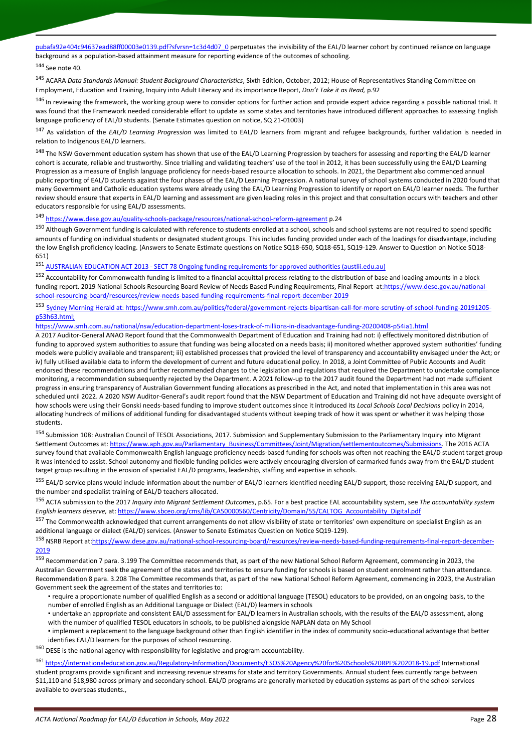[pubafa92e404c94637ead88ff00003e0139.pdf?sfvrsn=1c3d4d07\\_0](https://www.acara.edu.au/docs/default-source/default-document-library/measurement-framework-2020-for-pubafa92e404c94637ead88ff00003e0139.pdf?sfvrsn=1c3d4d07_0) perpetuates the invisibility of the EAL/D learner cohort by continued reliance on language background as a population-based attainment measure for reporting evidence of the outcomes of schooling.

#### 144 See note 40.

<sup>145</sup> ACARA *Data Standards Manual: Student Background Characteristics*, Sixth Edition, October, 2012; House of Representatives Standing Committee on Employment, Education and Training, Inquiry into Adult Literacy and its importance Report, *Don't Take it as Read,* p.92

<sup>146</sup> In reviewing the framework, the working group were to consider options for further action and provide expert advice regarding a possible national trial. It was found that the Framework needed considerable effort to update as some states and territories have introduced different approaches to assessing English language proficiency of EAL/D students. (Senate Estimates question on notice, SQ 21-01003)

<sup>147</sup> As validation of the *EAL/D Learning Progression* was limited to EAL/D learners from migrant and refugee backgrounds, further validation is needed in relation to Indigenous EAL/D learners.

<sup>148</sup> The NSW Government education system has shown that use of the EAL/D Learning Progression by teachers for assessing and reporting the EAL/D learner cohort is accurate, reliable and trustworthy. Since trialling and validating teachers' use of the tool in 2012, it has been successfully using the EAL/D Learning Progression as a measure of English language proficiency for needs-based resource allocation to schools. In 2021, the Department also commenced annual public reporting of EAL/D students against the four phases of the EAL/D Learning Progression. A national survey of school systems conducted in 2020 found that many Government and Catholic education systems were already using the EAL/D Learning Progression to identify or report on EAL/D learner needs. The further review should ensure that experts in EAL/D learning and assessment are given leading roles in this project and that consultation occurs with teachers and other educators responsible for using EAL/D assessments.

#### <sup>149</sup> <https://www.dese.gov.au/quality-schools-package/resources/national-school-reform-agreement> p.24

<sup>150</sup> Although Government funding is calculated with reference to students enrolled at a school, schools and school systems are not required to spend specific amounts of funding on individual students or designated student groups. This includes funding provided under each of the loadings for disadvantage, including the low English proficiency loading. (Answers to Senate Estimate questions on Notice SQ18-650, SQ18-651, SQ19-129. Answer to Question on Notice SQ18- 651)

<sup>151</sup> AUSTRALIAN EDUCATION ACT 2013 - [SECT 78 Ongoing funding requirements for approved authorities \(austlii.edu.au\)](http://www5.austlii.edu.au/au/legis/cth/consol_act/aea2013210/s78.html)

<sup>152</sup> Accountability for Commonwealth funding is limited to a financial acquittal process relating to the distribution of base and loading amounts in a block funding report. 2019 National Schools Resourcing Board Review of Needs Based Funding Requirements, Final Report at[:https://www.dese.gov.au/national](https://www.dese.gov.au/national-school-resourcing-board/resources/review-needs-based-funding-requirements-final-report-december-2019)[school-resourcing-board/resources/review-needs-based-funding-requirements-final-report-december-2019](https://www.dese.gov.au/national-school-resourcing-board/resources/review-needs-based-funding-requirements-final-report-december-2019)

<sup>153</sup> Sydney Morning Herald at[: https://www.smh.com.au/politics/federal/government-rejects-bipartisan-call-for-more-scrutiny-of-school-funding-20191205](https://www.smh.com.au/politics/federal/government-rejects-bipartisan-call-for-more-scrutiny-of-school-funding-20191205-p53h63.html) [p53h63.html;](https://www.smh.com.au/politics/federal/government-rejects-bipartisan-call-for-more-scrutiny-of-school-funding-20191205-p53h63.html)

[https://www.smh.com.au/national/nsw/education-department-loses-track-of-millions-in-disadvantage-funding-20200408-p54ia1.htm](https://www.smh.com.au/national/nsw/education-department-loses-track-of-millions-in-disadvantage-funding-20200408-p54ia1.html)[l](https://www.smh.com.au/national/nsw/education-department-loses-track-of-millions-in-disadvantage-funding-20200408-p54ia1.html)

A 2017 Auditor-General ANAO Report found that the Commonwealth Department of Education and Training had not: i) effectively monitored distribution of funding to approved system authorities to assure that funding was being allocated on a needs basis; ii) monitored whether approved system authorities' funding models were publicly available and transparent; iii) established processes that provided the level of transparency and accountability envisaged under the Act; or iv) fully utilised available data to inform the development of current and future educational policy. In 2018, a Joint Committee of Public Accounts and Audit endorsed these recommendations and further recommended changes to the legislation and regulations that required the Department to undertake compliance monitoring, a recommendation subsequently rejected by the Department. A 2021 follow-up to the 2017 audit found the Department had not made sufficient progress in ensuring transparency of Australian Government funding allocations as prescribed in the Act, and noted that implementation in this area was not scheduled until 2022. A 2020 NSW Auditor-General's audit report found that the NSW Department of Education and Training did not have adequate oversight of how schools were using their Gonski needs-based funding to improve student outcomes since it introduced its *Local Schools Local Decisions* policy in 2014, allocating hundreds of millions of additional funding for disadvantaged students without keeping track of how it was spent or whether it was helping those students.

<sup>154</sup> Submission 108: Australian Council of TESOL Associations, 2017. Submission and Supplementary Submission to the Parliamentary Inquiry into Migrant Settlement Outcomes at[: https://www.aph.gov.au/Parliamentary\\_Business/Committees/Joint/Migration/settlementoutcomes/Submissions.](https://www.aph.gov.au/Parliamentary_Business/Committees/Joint/Migration/settlementoutcomes/Submissions) The 2016 ACTA survey found that available Commonwealth English language proficiency needs-based funding for schools was often not reaching the EAL/D student target group it was intended to assist. School autonomy and flexible funding policies were actively encouraging diversion of earmarked funds away from the EAL/D student target group resulting in the erosion of specialist EAL/D programs, leadership, staffing and expertise in schools.

<sup>155</sup> EAL/D service plans would include information about the number of EAL/D learners identified needing EAL/D support, those receiving EAL/D support, and the number and specialist training of EAL/D teachers allocated.

<sup>156</sup> ACTA submission to the 2017 *Inquiry into Migrant Settlement Outcomes*, p.65. For a best practice EAL accountability system, see *The accountability system English learners deserve,* at[: https://www.sbceo.org/cms/lib/CA50000560/Centricity/Domain/55/CALTOG\\_Accountability\\_Digital.pdf](https://www.sbceo.org/cms/lib/CA50000560/Centricity/Domain/55/CALTOG_Accountability_Digital.pdf)

<sup>157</sup> The Commonwealth acknowledged that current arrangements do not allow visibility of state or territories' own expenditure on specialist English as an additional language or dialect (EAL/D) services. (Answer to Senate Estimates Question on Notice SQ19-129).

<sup>158</sup> NSRB Report a[t:https://www.dese.gov.au/national-school-resourcing-board/resources/review-needs-based-funding-requirements-final-report-december-](https://www.dese.gov.au/national-school-resourcing-board/resources/review-needs-based-funding-requirements-final-report-december-2019)[2019](https://www.dese.gov.au/national-school-resourcing-board/resources/review-needs-based-funding-requirements-final-report-december-2019)

<sup>159</sup> Recommendation 7 para. 3.199 The Committee recommends that, as part of the new National School Reform Agreement, commencing in 2023, the Australian Government seek the agreement of the states and territories to ensure funding for schools is based on student enrolment rather than attendance. Recommendation 8 para. 3.208 The Committee recommends that, as part of the new National School Reform Agreement, commencing in 2023, the Australian Government seek the agreement of the states and territories to:

- require a proportionate number of qualified English as a second or additional language (TESOL) educators to be provided, on an ongoing basis, to the number of enrolled English as an Additional Language or Dialect (EAL/D) learners in schools
- undertake an appropriate and consistent EAL/D assessment for EAL/D learners in Australian schools, with the results of the EAL/D assessment, along with the number of qualified TESOL educators in schools, to be published alongside NAPLAN data on My School
- implement a replacement to the language background other than English identifier in the index of community socio-educational advantage that better identifies EAL/D learners for the purposes of school resourcing.

 $160$  DESE is the national agency with responsibility for legislative and program accountability.

<sup>161</sup> <https://internationaleducation.gov.au/Regulatory-Information/Documents/ESOS%20Agency%20for%20Schools%20RPF%202018-19.pdf> International student programs provide significant and increasing revenue streams for state and territory Governments. Annual student fees currently range between \$11,110 and \$18,980 across primary and secondary school. EAL/D programs are generally marketed by education systems as part of the school services available to overseas students.,